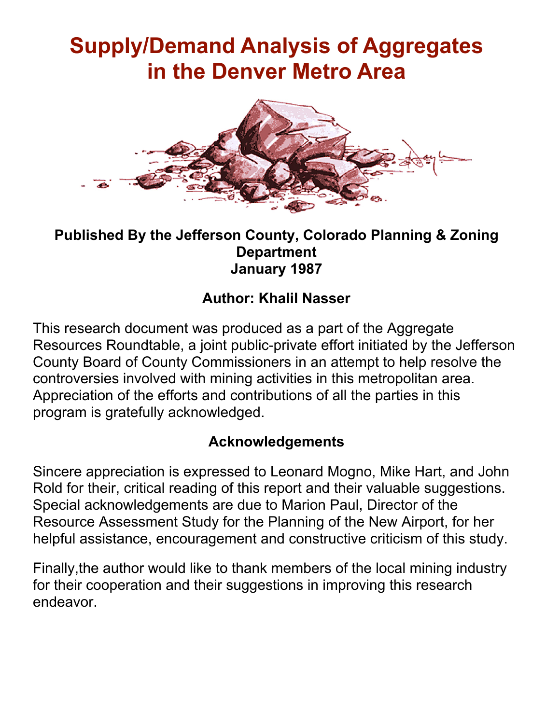# **Supply/Demand Analysis of Aggregates in the Denver Metro Area**



#### **Published By the Jefferson County, Colorado Planning & Zoning Department January 1987**

## **Author: Khalil Nasser**

This research document was produced as a part of the Aggregate Resources Roundtable, a joint public-private effort initiated by the Jefferson County Board of County Commissioners in an attempt to help resolve the controversies involved with mining activities in this metropolitan area. Appreciation of the efforts and contributions of all the parties in this program is gratefully acknowledged.

### **Acknowledgements**

Sincere appreciation is expressed to Leonard Mogno, Mike Hart, and John Rold for their, critical reading of this report and their valuable suggestions. Special acknowledgements are due to Marion Paul, Director of the Resource Assessment Study for the Planning of the New Airport, for her helpful assistance, encouragement and constructive criticism of this study.

Finally,the author would like to thank members of the local mining industry for their cooperation and their suggestions in improving this research endeavor.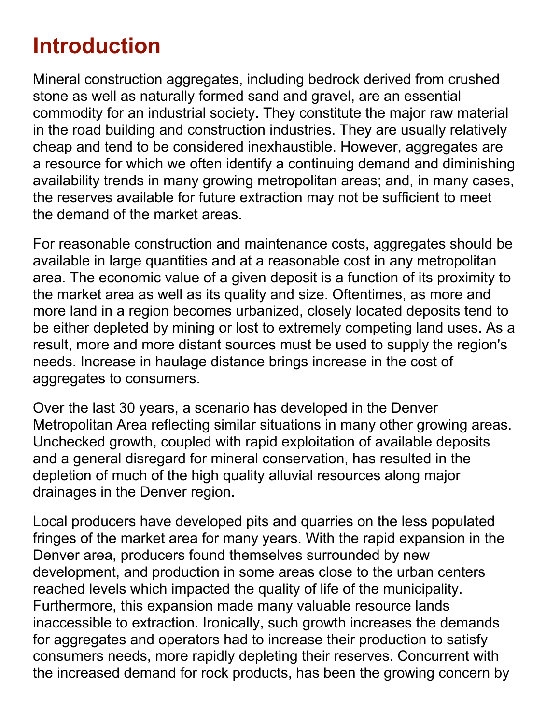# **Introduction**

Mineral construction aggregates, including bedrock derived from crushed stone as well as naturally formed sand and gravel, are an essential commodity for an industrial society. They constitute the major raw material in the road building and construction industries. They are usually relatively cheap and tend to be considered inexhaustible. However, aggregates are a resource for which we often identify a continuing demand and diminishing availability trends in many growing metropolitan areas; and, in many cases, the reserves available for future extraction may not be sufficient to meet the demand of the market areas.

For reasonable construction and maintenance costs, aggregates should be available in large quantities and at a reasonable cost in any metropolitan area. The economic value of a given deposit is a function of its proximity to the market area as well as its quality and size. Oftentimes, as more and more land in a region becomes urbanized, closely located deposits tend to be either depleted by mining or lost to extremely competing land uses. As a result, more and more distant sources must be used to supply the region's needs. Increase in haulage distance brings increase in the cost of aggregates to consumers.

Over the last 30 years, a scenario has developed in the Denver Metropolitan Area reflecting similar situations in many other growing areas. Unchecked growth, coupled with rapid exploitation of available deposits and a general disregard for mineral conservation, has resulted in the depletion of much of the high quality alluvial resources along major drainages in the Denver region.

Local producers have developed pits and quarries on the less populated fringes of the market area for many years. With the rapid expansion in the Denver area, producers found themselves surrounded by new development, and production in some areas close to the urban centers reached levels which impacted the quality of life of the municipality. Furthermore, this expansion made many valuable resource lands inaccessible to extraction. Ironically, such growth increases the demands for aggregates and operators had to increase their production to satisfy consumers needs, more rapidly depleting their reserves. Concurrent with the increased demand for rock products, has been the growing concern by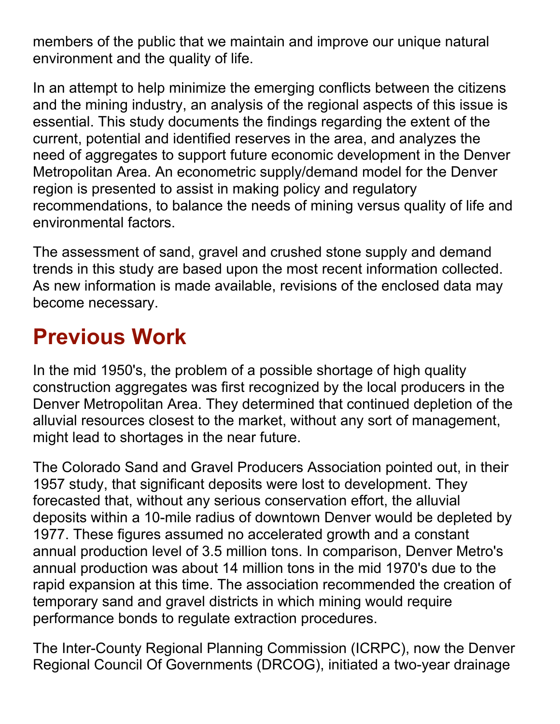members of the public that we maintain and improve our unique natural environment and the quality of life.

In an attempt to help minimize the emerging conflicts between the citizens and the mining industry, an analysis of the regional aspects of this issue is essential. This study documents the findings regarding the extent of the current, potential and identified reserves in the area, and analyzes the need of aggregates to support future economic development in the Denver Metropolitan Area. An econometric supply/demand model for the Denver region is presented to assist in making policy and regulatory recommendations, to balance the needs of mining versus quality of life and environmental factors.

The assessment of sand, gravel and crushed stone supply and demand trends in this study are based upon the most recent information collected. As new information is made available, revisions of the enclosed data may become necessary.

# **Previous Work**

In the mid 1950's, the problem of a possible shortage of high quality construction aggregates was first recognized by the local producers in the Denver Metropolitan Area. They determined that continued depletion of the alluvial resources closest to the market, without any sort of management, might lead to shortages in the near future.

The Colorado Sand and Gravel Producers Association pointed out, in their 1957 study, that significant deposits were lost to development. They forecasted that, without any serious conservation effort, the alluvial deposits within a 10-mile radius of downtown Denver would be depleted by 1977. These figures assumed no accelerated growth and a constant annual production level of 3.5 million tons. In comparison, Denver Metro's annual production was about 14 million tons in the mid 1970's due to the rapid expansion at this time. The association recommended the creation of temporary sand and gravel districts in which mining would require performance bonds to regulate extraction procedures.

The Inter-County Regional Planning Commission (ICRPC), now the Denver Regional Council Of Governments (DRCOG), initiated a two-year drainage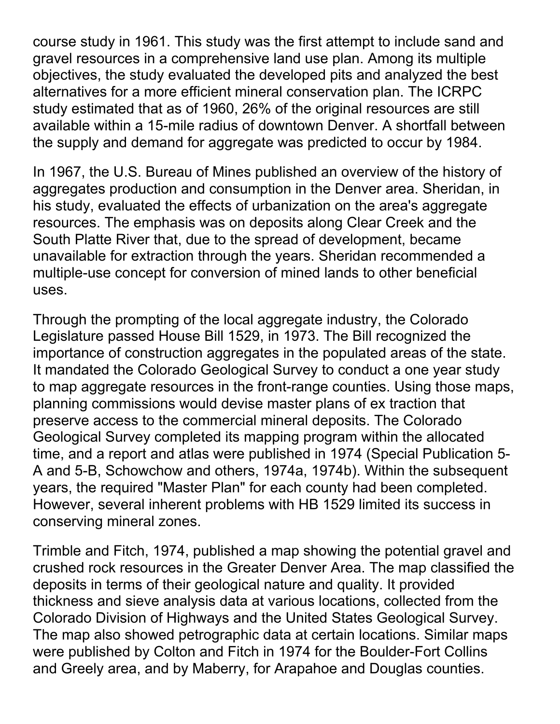course study in 1961. This study was the first attempt to include sand and gravel resources in a comprehensive land use plan. Among its multiple objectives, the study evaluated the developed pits and analyzed the best alternatives for a more efficient mineral conservation plan. The ICRPC study estimated that as of 1960, 26% of the original resources are still available within a 15-mile radius of downtown Denver. A shortfall between the supply and demand for aggregate was predicted to occur by 1984.

In 1967, the U.S. Bureau of Mines published an overview of the history of aggregates production and consumption in the Denver area. Sheridan, in his study, evaluated the effects of urbanization on the area's aggregate resources. The emphasis was on deposits along Clear Creek and the South Platte River that, due to the spread of development, became unavailable for extraction through the years. Sheridan recommended a multiple-use concept for conversion of mined lands to other beneficial uses.

Through the prompting of the local aggregate industry, the Colorado Legislature passed House Bill 1529, in 1973. The Bill recognized the importance of construction aggregates in the populated areas of the state. It mandated the Colorado Geological Survey to conduct a one year study to map aggregate resources in the front-range counties. Using those maps, planning commissions would devise master plans of ex traction that preserve access to the commercial mineral deposits. The Colorado Geological Survey completed its mapping program within the allocated time, and a report and atlas were published in 1974 (Special Publication 5- A and 5-B, Schowchow and others, 1974a, 1974b). Within the subsequent years, the required "Master Plan" for each county had been completed. However, several inherent problems with HB 1529 limited its success in conserving mineral zones.

Trimble and Fitch, 1974, published a map showing the potential gravel and crushed rock resources in the Greater Denver Area. The map classified the deposits in terms of their geological nature and quality. It provided thickness and sieve analysis data at various locations, collected from the Colorado Division of Highways and the United States Geological Survey. The map also showed petrographic data at certain locations. Similar maps were published by Colton and Fitch in 1974 for the Boulder-Fort Collins and Greely area, and by Maberry, for Arapahoe and Douglas counties.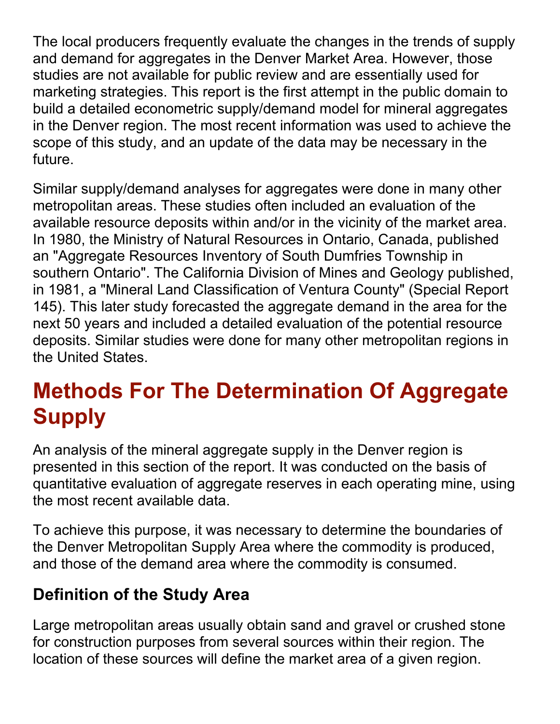The local producers frequently evaluate the changes in the trends of supply and demand for aggregates in the Denver Market Area. However, those studies are not available for public review and are essentially used for marketing strategies. This report is the first attempt in the public domain to build a detailed econometric supply/demand model for mineral aggregates in the Denver region. The most recent information was used to achieve the scope of this study, and an update of the data may be necessary in the future.

Similar supply/demand analyses for aggregates were done in many other metropolitan areas. These studies often included an evaluation of the available resource deposits within and/or in the vicinity of the market area. In 1980, the Ministry of Natural Resources in Ontario, Canada, published an "Aggregate Resources Inventory of South Dumfries Township in southern Ontario". The California Division of Mines and Geology published, in 1981, a "Mineral Land Classification of Ventura County" (Special Report 145). This later study forecasted the aggregate demand in the area for the next 50 years and included a detailed evaluation of the potential resource deposits. Similar studies were done for many other metropolitan regions in the United States.

# **Methods For The Determination Of Aggregate Supply**

An analysis of the mineral aggregate supply in the Denver region is presented in this section of the report. It was conducted on the basis of quantitative evaluation of aggregate reserves in each operating mine, using the most recent available data.

To achieve this purpose, it was necessary to determine the boundaries of the Denver Metropolitan Supply Area where the commodity is produced, and those of the demand area where the commodity is consumed.

## **Definition of the Study Area**

Large metropolitan areas usually obtain sand and gravel or crushed stone for construction purposes from several sources within their region. The location of these sources will define the market area of a given region.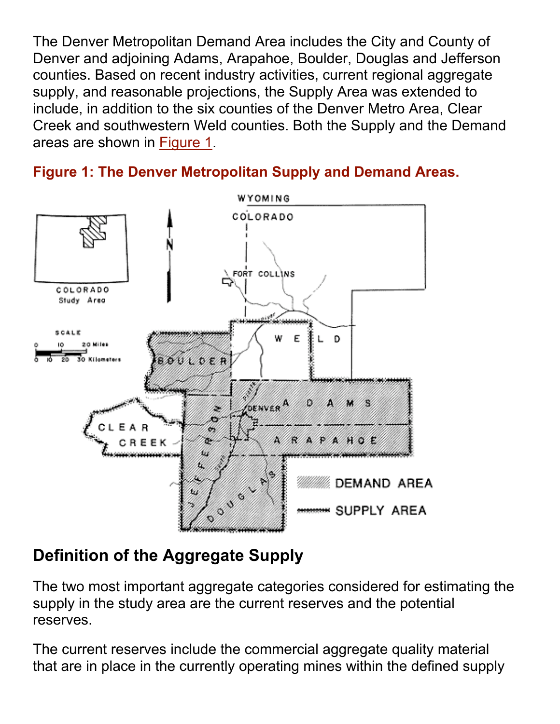The Denver Metropolitan Demand Area includes the City and County of Denver and adjoining Adams, Arapahoe, Boulder, Douglas and Jefferson counties. Based on recent industry activities, current regional aggregate supply, and reasonable projections, the Supply Area was extended to include, in addition to the six counties of the Denver Metro Area, Clear Creek and southwestern Weld counties. Both the Supply and the Demand areas are shown in Figure 1.





# **Definition of the Aggregate Supply**

The two most important aggregate categories considered for estimating the supply in the study area are the current reserves and the potential reserves.

The current reserves include the commercial aggregate quality material that are in place in the currently operating mines within the defined supply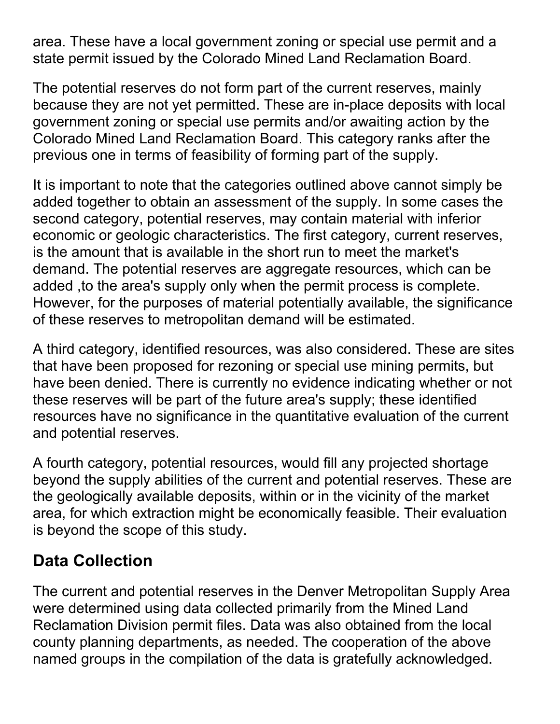area. These have a local government zoning or special use permit and a state permit issued by the Colorado Mined Land Reclamation Board.

The potential reserves do not form part of the current reserves, mainly because they are not yet permitted. These are in-place deposits with local government zoning or special use permits and/or awaiting action by the Colorado Mined Land Reclamation Board. This category ranks after the previous one in terms of feasibility of forming part of the supply.

It is important to note that the categories outlined above cannot simply be added together to obtain an assessment of the supply. In some cases the second category, potential reserves, may contain material with inferior economic or geologic characteristics. The first category, current reserves, is the amount that is available in the short run to meet the market's demand. The potential reserves are aggregate resources, which can be added, to the area's supply only when the permit process is complete. However, for the purposes of material potentially available, the significance of these reserves to metropolitan demand will be estimated.

A third category, identified resources, was also considered. These are sites that have been proposed for rezoning or special use mining permits, but have been denied. There is currently no evidence indicating whether or not these reserves will be part of the future area's supply; these identified resources have no significance in the quantitative evaluation of the current and potential reserves.

A fourth category, potential resources, would fill any projected shortage beyond the supply abilities of the current and potential reserves. These are the geologically available deposits, within or in the vicinity of the market area, for which extraction might be economically feasible. Their evaluation is beyond the scope of this study.

## **Data Collection**

The current and potential reserves in the Denver Metropolitan Supply Area were determined using data collected primarily from the Mined Land Reclamation Division permit files. Data was also obtained from the local county planning departments, as needed. The cooperation of the above named groups in the compilation of the data is gratefully acknowledged.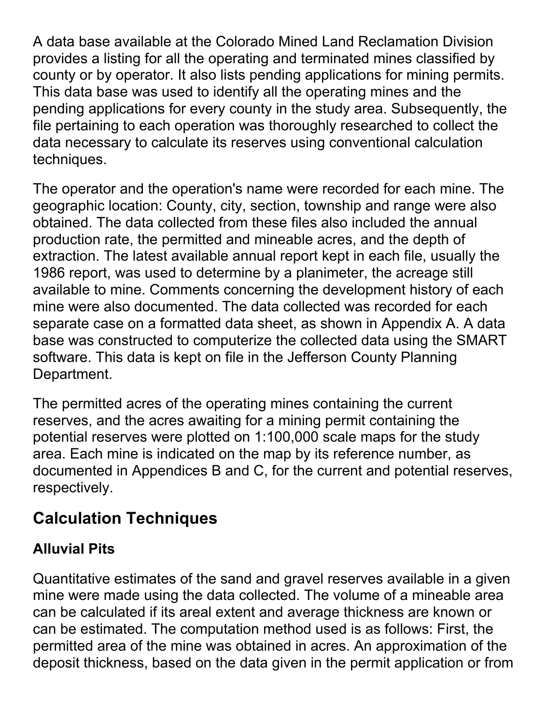A data base available at the Colorado Mined Land Reclamation Division provides a listing for all the operating and terminated mines classified by county or by operator. It also lists pending applications for mining permits. This data base was used to identify all the operating mines and the pending applications for every county in the study area. Subsequently, the file pertaining to each operation was thoroughly researched to collect the data necessary to calculate its reserves using conventional calculation techniques.

The operator and the operation's name were recorded for each mine. The geographic location: County, city, section, township and range were also obtained. The data collected from these files also included the annual production rate, the permitted and mineable acres, and the depth of extraction. The latest available annual report kept in each file, usually the 1986 report, was used to determine by a planimeter, the acreage still available to mine. Comments concerning the development history of each mine were also documented. The data collected was recorded for each separate case on a formatted data sheet, as shown in Appendix A. A data base was constructed to computerize the collected data using the SMART software. This data is kept on file in the Jefferson County Planning Department.

The permitted acres of the operating mines containing the current reserves, and the acres awaiting for a mining permit containing the potential reserves were plotted on 1:100,000 scale maps for the study area. Each mine is indicated on the map by its reference number, as documented in Appendices B and C, for the current and potential reserves, respectively.

## **Calculation Techniques**

## **Alluvial Pits**

Quantitative estimates of the sand and gravel reserves available in a given mine were made using the data collected. The volume of a mineable area can be calculated if its areal extent and average thickness are known or can be estimated. The computation method used is as follows: First, the permitted area of the mine was obtained in acres. An approximation of the deposit thickness, based on the data given in the permit application or from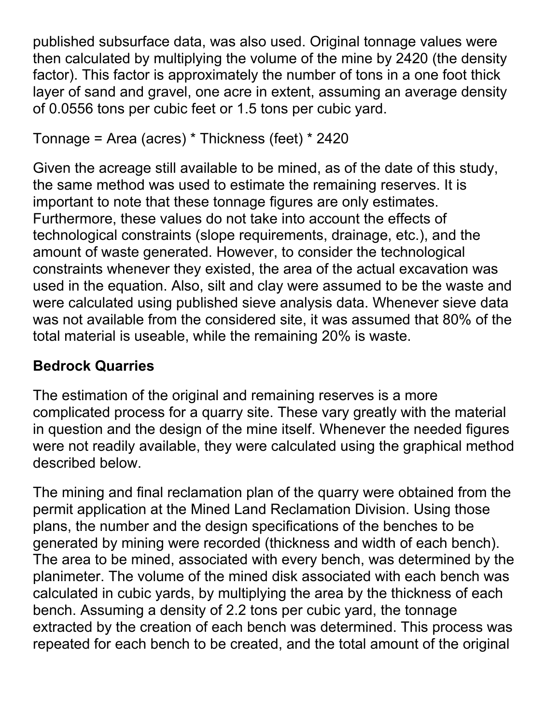published subsurface data, was also used. Original tonnage values were then calculated by multiplying the volume of the mine by 2420 (the density factor). This factor is approximately the number of tons in a one foot thick layer of sand and gravel, one acre in extent, assuming an average density of 0.0556 tons per cubic feet or 1.5 tons per cubic yard.

```
Tonnage = Area (acres) * Thickness (feet) * 2420
```
Given the acreage still available to be mined, as of the date of this study, the same method was used to estimate the remaining reserves. It is important to note that these tonnage figures are only estimates. Furthermore, these values do not take into account the effects of technological constraints (slope requirements, drainage, etc.), and the amount of waste generated. However, to consider the technological constraints whenever they existed, the area of the actual excavation was used in the equation. Also, silt and clay were assumed to be the waste and were calculated using published sieve analysis data. Whenever sieve data was not available from the considered site, it was assumed that 80% of the total material is useable, while the remaining 20% is waste.

## **Bedrock Quarries**

The estimation of the original and remaining reserves is a more complicated process for a quarry site. These vary greatly with the material in question and the design of the mine itself. Whenever the needed figures were not readily available, they were calculated using the graphical method described below.

The mining and final reclamation plan of the quarry were obtained from the permit application at the Mined Land Reclamation Division. Using those plans, the number and the design specifications of the benches to be generated by mining were recorded (thickness and width of each bench). The area to be mined, associated with every bench, was determined by the planimeter. The volume of the mined disk associated with each bench was calculated in cubic yards, by multiplying the area by the thickness of each bench. Assuming a density of 2.2 tons per cubic yard, the tonnage extracted by the creation of each bench was determined. This process was repeated for each bench to be created, and the total amount of the original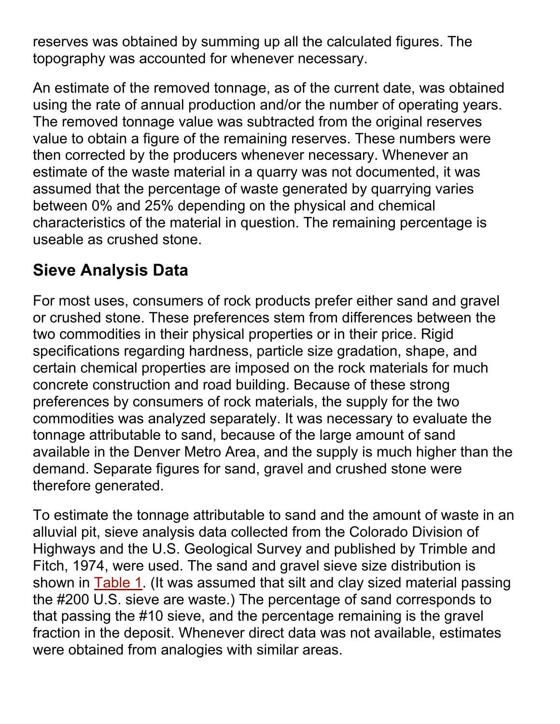reserves was obtained by summing up all the calculated figures. The topography was accounted for whenever necessary.

An estimate of the removed tonnage, as of the current date, was obtained using the rate of annual production and/or the number of operating years. The removed tonnage value was subtracted from the original reserves value to obtain a figure of the remaining reserves. These numbers were then corrected by the producers whenever necessary. Whenever an estimate of the waste material in a quarry was not documented, it was assumed that the percentage of waste generated by quarrying varies between 0% and 25% depending on the physical and chemical characteristics of the material in question. The remaining percentage is useable as crushed stone.

# **Sieve Analysis Data**

For most uses, consumers of rock products prefer either sand and gravel or crushed stone. These preferences stem from differences between the two commodities in their physical properties or in their price. Rigid specifications regarding hardness, particle size gradation, shape, and certain chemical properties are imposed on the rock materials for much concrete construction and road building. Because of these strong preferences by consumers of rock materials, the supply for the two commodities was analyzed separately. It was necessary to evaluate the tonnage attributable to sand, because of the large amount of sand available in the Denver Metro Area, and the supply is much higher than the demand. Separate figures for sand, gravel and crushed stone were therefore generated.

To estimate the tonnage attributable to sand and the amount of waste in an alluvial pit, sieve analysis data collected from the Colorado Division of Highways and the U.S. Geological Survey and published by Trimble and Fitch, 1974, were used. The sand and gravel sieve size distribution is shown in Table 1. (It was assumed that silt and clay sized material passing the #200 U.S. sieve are waste.) The percentage of sand corresponds to that passing the #10 sieve, and the percentage remaining is the gravel fraction in the deposit. Whenever direct data was not available, estimates were obtained from analogies with similar areas.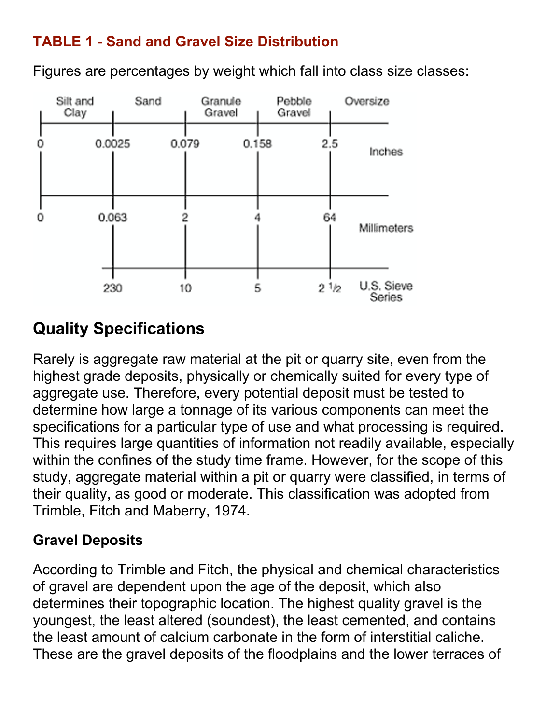### **TABLE 1 - Sand and Gravel Size Distribution**

Figures are percentages by weight which fall into class size classes:



# **Quality Specifications**

Rarely is aggregate raw material at the pit or quarry site, even from the highest grade deposits, physically or chemically suited for every type of aggregate use. Therefore, every potential deposit must be tested to determine how large a tonnage of its various components can meet the specifications for a particular type of use and what processing is required. This requires large quantities of information not readily available, especially within the confines of the study time frame. However, for the scope of this study, aggregate material within a pit or quarry were classified, in terms of their quality, as good or moderate. This classification was adopted from Trimble, Fitch and Maberry, 1974.

### **Gravel Deposits**

According to Trimble and Fitch, the physical and chemical characteristics of gravel are dependent upon the age of the deposit, which also determines their topographic location. The highest quality gravel is the youngest, the least altered (soundest), the least cemented, and contains the least amount of calcium carbonate in the form of interstitial caliche. These are the gravel deposits of the floodplains and the lower terraces of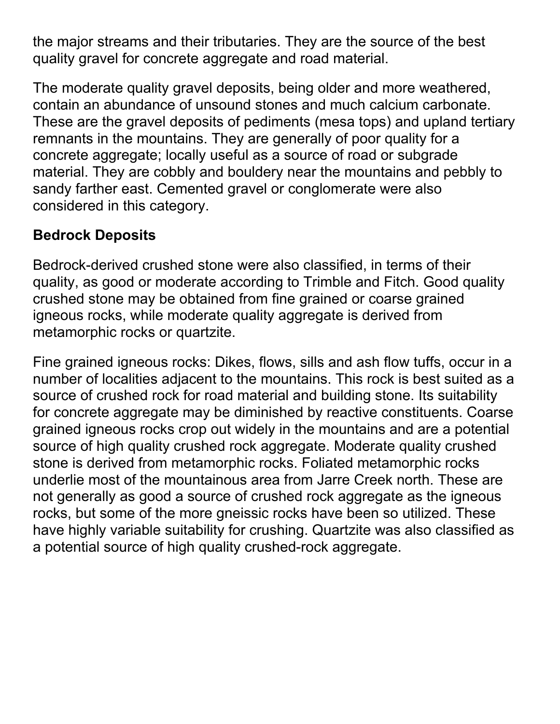the major streams and their tributaries. They are the source of the best quality gravel for concrete aggregate and road material.

The moderate quality gravel deposits, being older and more weathered, contain an abundance of unsound stones and much calcium carbonate. These are the gravel deposits of pediments (mesa tops) and upland tertiary remnants in the mountains. They are generally of poor quality for a concrete aggregate; locally useful as a source of road or subgrade material. They are cobbly and bouldery near the mountains and pebbly to sandy farther east. Cemented gravel or conglomerate were also considered in this category.

### **Bedrock Deposits**

Bedrock-derived crushed stone were also classified, in terms of their quality, as good or moderate according to Trimble and Fitch. Good quality crushed stone may be obtained from fine grained or coarse grained igneous rocks, while moderate quality aggregate is derived from metamorphic rocks or quartzite.

Fine grained igneous rocks: Dikes, flows, sills and ash flow tuffs, occur in a number of localities adjacent to the mountains. This rock is best suited as a source of crushed rock for road material and building stone. Its suitability for concrete aggregate may be diminished by reactive constituents. Coarse grained igneous rocks crop out widely in the mountains and are a potential source of high quality crushed rock aggregate. Moderate quality crushed stone is derived from metamorphic rocks. Foliated metamorphic rocks underlie most of the mountainous area from Jarre Creek north. These are not generally as good a source of crushed rock aggregate as the igneous rocks, but some of the more gneissic rocks have been so utilized. These have highly variable suitability for crushing. Quartzite was also classified as a potential source of high quality crushed-rock aggregate.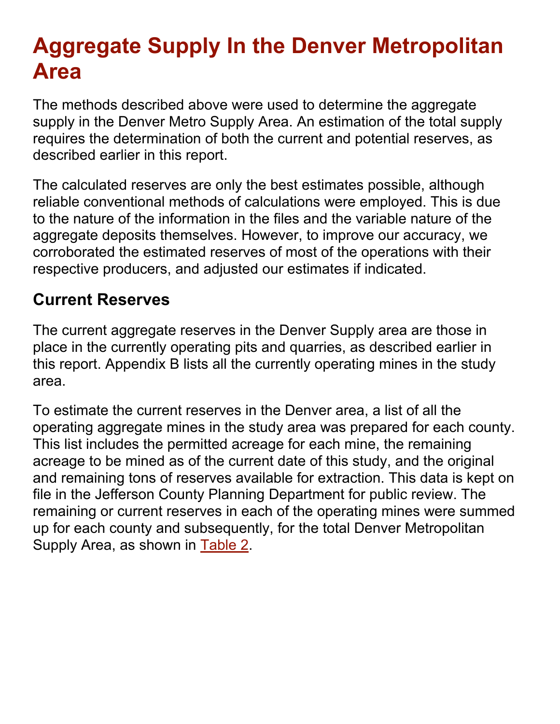# **Aggregate Supply In the Denver Metropolitan Area**

The methods described above were used to determine the aggregate supply in the Denver Metro Supply Area. An estimation of the total supply requires the determination of both the current and potential reserves, as described earlier in this report.

The calculated reserves are only the best estimates possible, although reliable conventional methods of calculations were employed. This is due to the nature of the information in the files and the variable nature of the aggregate deposits themselves. However, to improve our accuracy, we corroborated the estimated reserves of most of the operations with their respective producers, and adjusted our estimates if indicated.

## **Current Reserves**

The current aggregate reserves in the Denver Supply area are those in place in the currently operating pits and quarries, as described earlier in this report. Appendix B lists all the currently operating mines in the study area.

To estimate the current reserves in the Denver area, a list of all the operating aggregate mines in the study area was prepared for each county. This list includes the permitted acreage for each mine, the remaining acreage to be mined as of the current date of this study, and the original and remaining tons of reserves available for extraction. This data is kept on file in the Jefferson County Planning Department for public review. The remaining or current reserves in each of the operating mines were summed up for each county and subsequently, for the total Denver Metropolitan Supply Area, as shown in Table 2.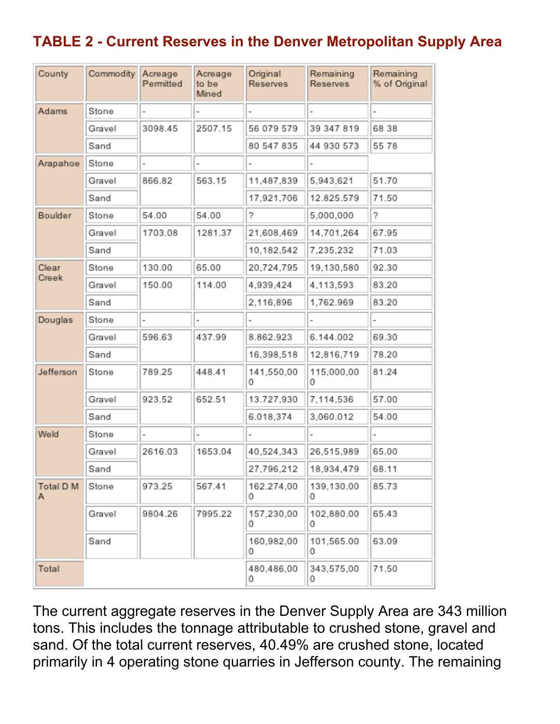## **TABLE 2 - Current Reserves in the Denver Metropolitan Supply Area**

| County         | Commodity | Acreage<br>Permitted | Acreage<br>to be<br>Mined | Original<br>Reserves | Remaining<br>Reserves | Remaining<br>% of Original |
|----------------|-----------|----------------------|---------------------------|----------------------|-----------------------|----------------------------|
| Adams          | Stone     |                      |                           |                      |                       |                            |
|                | Gravel    | 3098.45              | 2507.15                   | 56 079 579           | 39 347 819            | 68 38                      |
|                | Sand      |                      |                           | 80 547 835           | 44 930 573            | 55 78                      |
| Arapahoe       | Stone     |                      |                           |                      |                       |                            |
|                | Gravel    | 866.82               | 563.15                    | 11,487,839           | 5,943,621             | 51.70                      |
|                | Sand      |                      |                           | 17,921,706           | 12.825.579            | 71.50                      |
| Boulder        | Stone     | 54.00                | 54.00                     | 2                    | 5,000,000             | 5                          |
|                | Gravel    | 1703.08              | 1281.37                   | 21,608,469           | 14,701,264            | 67.95                      |
|                | Sand      |                      |                           | 10,182,542           | 7,235,232             | 71.03                      |
| Clear          | Stone     | 130.00               | 65.00                     | 20,724,795           | 19,130,580            | 92.30                      |
| Creek          | Gravel    | 150.00               | 114.00                    | 4.939.424            | 4,113,593             | 83.20                      |
|                | Sand      |                      |                           | 2,116,896            | 1,762.969             | 83.20                      |
| Douglas        | Stone     |                      |                           |                      |                       |                            |
|                | Gravel    | 596.63               | 437.99                    | 8.862.923            | 6.144.002             | 69.30                      |
|                | Sand      |                      |                           | 16,398,518           | 12,816,719            | 78.20                      |
| Jefferson      | Stone     | 789.25               | 448.41                    | 141,550,00<br>0      | 115,000,00<br>0       | 81.24                      |
|                | Gravel    | 923.52               | 652.51                    | 13.727,930           | 7,114,536             | 57.00                      |
|                | Sand      |                      |                           | 6.018,374            | 3,060.012             | 54.00                      |
| Weld           | Stone     |                      |                           |                      |                       |                            |
|                | Gravel    | 2616.03              | 1653.04                   | 40,524,343           | 26,515,989            | 65.00                      |
|                | Sand      |                      |                           | 27,796,212           | 18,934,479            | 68.11                      |
| Total D M<br>Α | Stone     | 973.25               | 567.41                    | 162.274,00<br>0      | 139,130.00<br>0       | 85.73                      |
|                | Gravel    | 9804.26              | 7995.22                   | 157,230,00<br>0      | 102,880.00<br>0       | 65.43                      |
|                | Sand      |                      |                           | 160,982,00<br>n      | 101,565.00<br>0       | 63.09                      |
| Total          |           |                      |                           | 480,486,00<br>0      | 343,575,00<br>0       | 71.50                      |

The current aggregate reserves in the Denver Supply Area are 343 million tons. This includes the tonnage attributable to crushed stone, gravel and sand. Of the total current reserves, 40.49% are crushed stone, located primarily in 4 operating stone quarries in Jefferson county. The remaining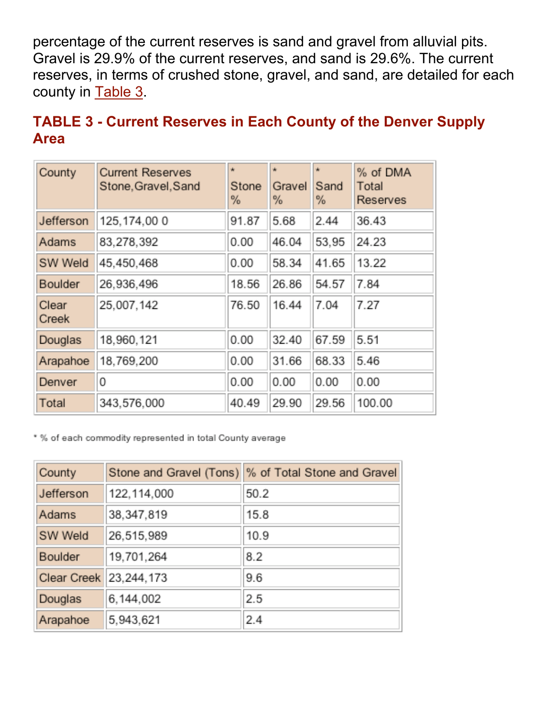percentage of the current reserves is sand and gravel from alluvial pits. Gravel is 29.9% of the current reserves, and sand is 29.6%. The current reserves, in terms of crushed stone, gravel, and sand, are detailed for each county in Table 3.

| <b>TABLE 3 - Current Reserves in Each County of the Denver Supply</b> |  |
|-----------------------------------------------------------------------|--|
| <b>Area</b>                                                           |  |

| County         | <b>Current Reserves</b><br>Stone, Gravel, Sand | ŵ<br>Stone<br>℅ | ŵ<br>Gravel<br>% | ŵ<br>Sand<br>℅ | % of DMA<br>Total<br>Reserves |
|----------------|------------------------------------------------|-----------------|------------------|----------------|-------------------------------|
| Jefferson      | 125, 174, 00 0                                 | 91.87           | 5.68             | 2.44           | 36.43                         |
| Adams          | 83,278,392                                     | 0.00            | 46.04            | 53,95          | 24.23                         |
| SW Weld        | 45,450,468                                     | 0.00            | 58.34            | 41.65          | 13.22                         |
| Boulder        | 26,936,496                                     | 18.56           | 26.86            | 54.57          | 7.84                          |
| Clear<br>Creek | 25.007.142                                     | 76.50           | 16.44            | 7.04           | 7.27                          |
| Douglas        | 18.960,121                                     | 0.00            | 32.40            | 67.59          | 5.51                          |
| Arapahoe       | 18,769,200                                     | 0.00            | 31.66            | 68.33          | 5.46                          |
| Denver         | 0                                              | 0.00            | 0.00             | 0.00           | 0.00                          |
| Total          | 343,576,000                                    | 40.49           | 29.90            | 29.56          | 100.00                        |

\* % of each commodity represented in total County average

| County      |               | Stone and Gravel (Tons) % of Total Stone and Gravel |
|-------------|---------------|-----------------------------------------------------|
| Jefferson   | 122, 114, 000 | 50.2                                                |
| Adams       | 38,347,819    | 15.8                                                |
| SW Weld     | 26,515,989    | 10.9                                                |
| Boulder     | 19,701,264    | 8.2                                                 |
| Clear Creek | 23,244,173    | 9.6                                                 |
| Douglas     | 6,144,002     | 2.5                                                 |
| Arapahoe    | 5,943,621     | 2.4                                                 |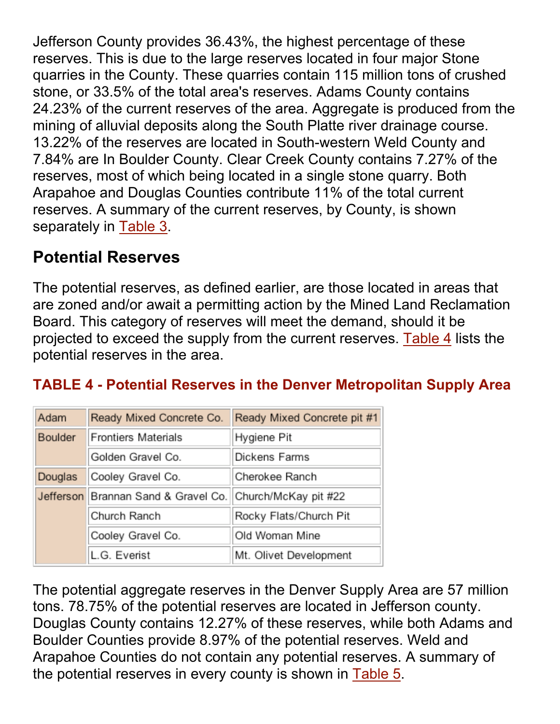Jefferson County provides 36.43%, the highest percentage of these reserves. This is due to the large reserves located in four major Stone quarries in the County. These quarries contain 115 million tons of crushed stone, or 33.5% of the total area's reserves. Adams County contains 24.23% of the current reserves of the area. Aggregate is produced from the mining of alluvial deposits along the South Platte river drainage course. 13.22% of the reserves are located in South-western Weld County and 7.84% are In Boulder County. Clear Creek County contains 7.27% of the reserves, most of which being located in a single stone quarry. Both Arapahoe and Douglas Counties contribute 11% of the total current reserves. A summary of the current reserves, by County, is shown separately in Table 3.

## **Potential Reserves**

The potential reserves, as defined earlier, are those located in areas that are zoned and/or await a permitting action by the Mined Land Reclamation Board. This category of reserves will meet the demand, should it be projected to exceed the supply from the current reserves. Table 4 lists the potential reserves in the area.

### **TABLE 4 - Potential Reserves in the Denver Metropolitan Supply Area**

| Adam    | Ready Mixed Concrete Co.            | Ready Mixed Concrete pit #1 |
|---------|-------------------------------------|-----------------------------|
| Boulder | <b>Frontiers Materials</b>          | Hygiene Pit                 |
|         | Golden Gravel Co.                   | Dickens Farms               |
| Douglas | Cooley Gravel Co.                   | Cherokee Ranch              |
|         | Jefferson Brannan Sand & Gravel Co. | Church/McKay pit #22        |
|         | Church Ranch                        | Rocky Flats/Church Pit      |
|         | Cooley Gravel Co.                   | Old Woman Mine              |
|         | L.G. Everist                        | Mt. Olivet Development      |

The potential aggregate reserves in the Denver Supply Area are 57 million tons. 78.75% of the potential reserves are located in Jefferson county. Douglas County contains 12.27% of these reserves, while both Adams and Boulder Counties provide 8.97% of the potential reserves. Weld and Arapahoe Counties do not contain any potential reserves. A summary of the potential reserves in every county is shown in Table 5.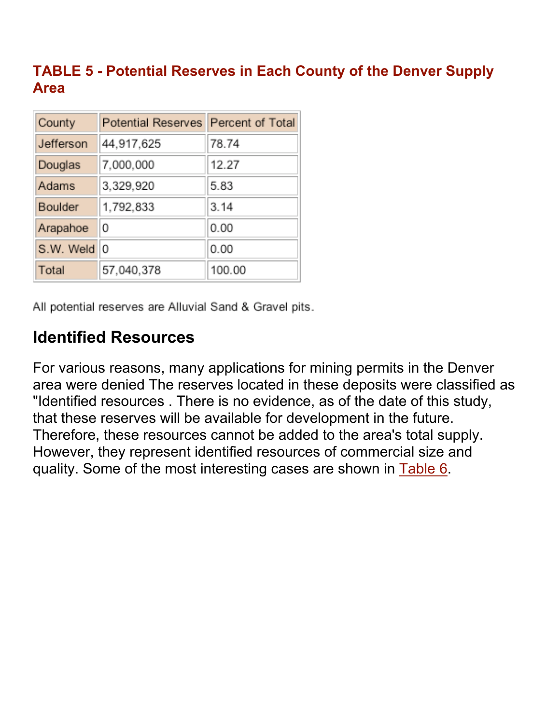### **TABLE 5 - Potential Reserves in Each County of the Denver Supply Area**

| County    | Potential Reserves Percent of Total |        |
|-----------|-------------------------------------|--------|
| Jefferson | 44,917,625                          | 78.74  |
| Douglas   | 7,000,000                           | 12.27  |
| Adams     | 3,329,920                           | 5.83   |
| Boulder   | 1,792,833                           | 3.14   |
| Arapahoe  | 0                                   | 0.00   |
| S.W. Weld | ١o                                  | 0.00   |
| Total     | 57,040,378                          | 100.00 |

All potential reserves are Alluvial Sand & Gravel pits.

# **Identified Resources**

For various reasons, many applications for mining permits in the Denver area were denied The reserves located in these deposits were classified as "Identified resources . There is no evidence, as of the date of this study, that these reserves will be available for development in the future. Therefore, these resources cannot be added to the area's total supply. However, they represent identified resources of commercial size and quality. Some of the most interesting cases are shown in Table 6.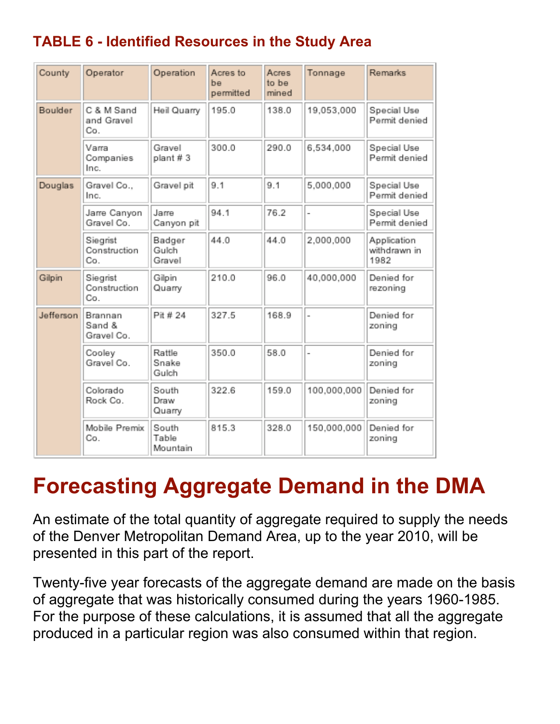## **TABLE 6 - Identified Resources in the Study Area**

| County    | Operator                        | Operation                  | Acres to<br>be<br>permitted | Acres<br>to be<br>mined | Tonnage     | Remarks                             |
|-----------|---------------------------------|----------------------------|-----------------------------|-------------------------|-------------|-------------------------------------|
| Boulder   | C & M Sand<br>and Gravel<br>Co. | Heil Quarry                | 195.0                       | 138.0                   | 19,053,000  | Special Use<br>Permit denied        |
|           | Varra<br>Companies<br>Inc.      | Gravel<br>plant #3         | 300.0                       | 290.0                   | 6,534,000   | Special Use<br>Permit denied        |
| Douglas   | Gravel Co.,<br>Inc.             | Gravel pit                 | 9.1                         | 9.1                     | 5,000,000   | Special Use<br>Permit denied        |
|           | Jarre Canyon<br>Gravel Co.      | Jarre<br>Canyon pit        | 94.1                        | 76.2                    |             | Special Use<br>Permit denied        |
|           | Siegrist<br>Construction<br>Co. | Badger<br>Gulch<br>Gravel  | 44.0                        | 44.0                    | 2,000,000   | Application<br>withdrawn in<br>1982 |
| Gilpin    | Siegrist<br>Construction<br>Co. | Gilpin<br>Quarry           | 210.0                       | 96.0                    | 40,000,000  | Denied for<br>rezoning              |
| Jefferson | Brannan<br>Sand &<br>Gravel Co. | Pit # 24                   | 327.5                       | 168.9                   |             | Denied for<br>zoning                |
|           | Cooley<br>Gravel Co.            | Rattle<br>Snake<br>Gulch   | 350.0                       | 58.0                    |             | Denied for<br>zoning                |
|           | Colorado<br>Rock Co.            | South<br>Draw<br>Quarry    | 322.6                       | 159.0                   | 100,000,000 | Denied for<br>zoning                |
|           | Mobile Premix<br>Co.            | South<br>Table<br>Mountain | 815.3                       | 328.0                   | 150,000,000 | Denied for<br>zoning                |

# **Forecasting Aggregate Demand in the DMA**

An estimate of the total quantity of aggregate required to supply the needs of the Denver Metropolitan Demand Area, up to the year 2010, will be presented in this part of the report.

Twenty-five year forecasts of the aggregate demand are made on the basis of aggregate that was historically consumed during the years 1960-1985. For the purpose of these calculations, it is assumed that all the aggregate produced in a particular region was also consumed within that region.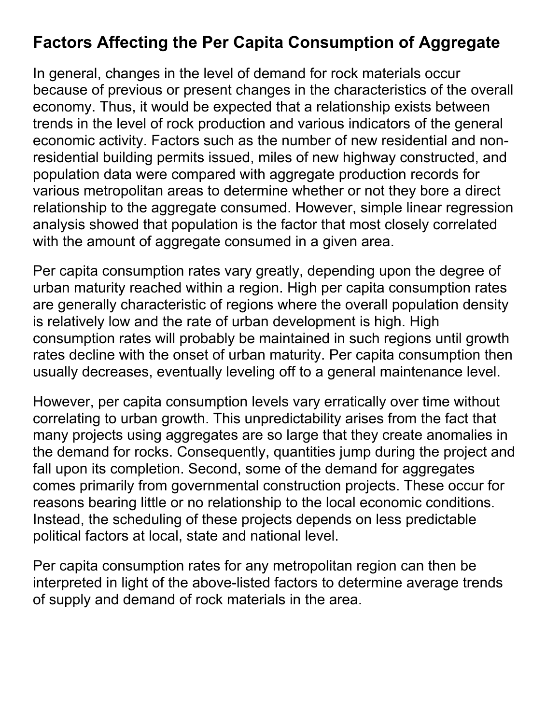## **Factors Affecting the Per Capita Consumption of Aggregate**

In general, changes in the level of demand for rock materials occur because of previous or present changes in the characteristics of the overall economy. Thus, it would be expected that a relationship exists between trends in the level of rock production and various indicators of the general economic activity. Factors such as the number of new residential and nonresidential building permits issued, miles of new highway constructed, and population data were compared with aggregate production records for various metropolitan areas to determine whether or not they bore a direct relationship to the aggregate consumed. However, simple linear regression analysis showed that population is the factor that most closely correlated with the amount of aggregate consumed in a given area.

Per capita consumption rates vary greatly, depending upon the degree of urban maturity reached within a region. High per capita consumption rates are generally characteristic of regions where the overall population density is relatively low and the rate of urban development is high. High consumption rates will probably be maintained in such regions until growth rates decline with the onset of urban maturity. Per capita consumption then usually decreases, eventually leveling off to a general maintenance level.

However, per capita consumption levels vary erratically over time without correlating to urban growth. This unpredictability arises from the fact that many projects using aggregates are so large that they create anomalies in the demand for rocks. Consequently, quantities jump during the project and fall upon its completion. Second, some of the demand for aggregates comes primarily from governmental construction projects. These occur for reasons bearing little or no relationship to the local economic conditions. Instead, the scheduling of these projects depends on less predictable political factors at local, state and national level.

Per capita consumption rates for any metropolitan region can then be interpreted in light of the above-listed factors to determine average trends of supply and demand of rock materials in the area.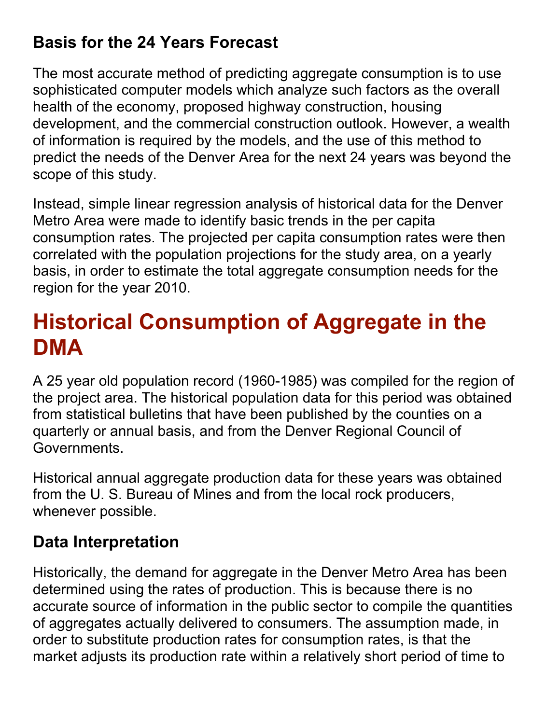# **Basis for the 24 Years Forecast**

The most accurate method of predicting aggregate consumption is to use sophisticated computer models which analyze such factors as the overall health of the economy, proposed highway construction, housing development, and the commercial construction outlook. However, a wealth of information is required by the models, and the use of this method to predict the needs of the Denver Area for the next 24 years was beyond the scope of this study.

Instead, simple linear regression analysis of historical data for the Denver Metro Area were made to identify basic trends in the per capita consumption rates. The projected per capita consumption rates were then correlated with the population projections for the study area, on a yearly basis, in order to estimate the total aggregate consumption needs for the region for the year 2010.

# **Historical Consumption of Aggregate in the DMA**

A 25 year old population record (1960-1985) was compiled for the region of the project area. The historical population data for this period was obtained from statistical bulletins that have been published by the counties on a quarterly or annual basis, and from the Denver Regional Council of Governments.

Historical annual aggregate production data for these years was obtained from the U. S. Bureau of Mines and from the local rock producers, whenever possible.

# **Data Interpretation**

Historically, the demand for aggregate in the Denver Metro Area has been determined using the rates of production. This is because there is no accurate source of information in the public sector to compile the quantities of aggregates actually delivered to consumers. The assumption made, in order to substitute production rates for consumption rates, is that the market adjusts its production rate within a relatively short period of time to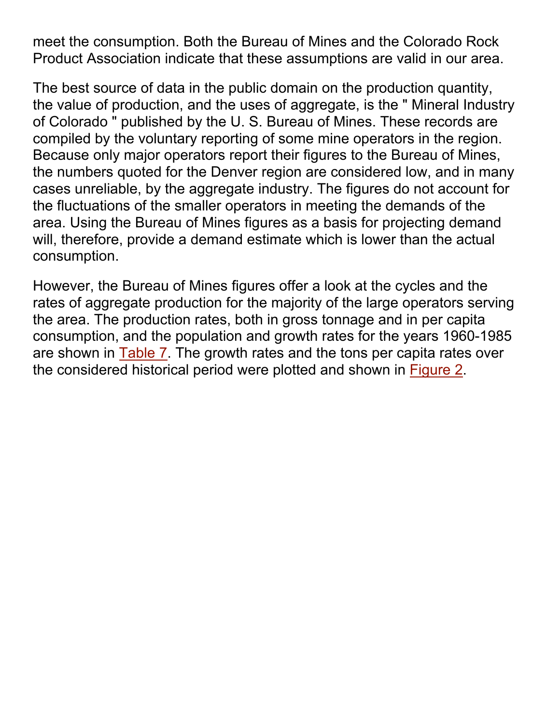meet the consumption. Both the Bureau of Mines and the Colorado Rock Product Association indicate that these assumptions are valid in our area.

The best source of data in the public domain on the production quantity, the value of production, and the uses of aggregate, is the " Mineral Industry of Colorado " published by the U. S. Bureau of Mines. These records are compiled by the voluntary reporting of some mine operators in the region. Because only major operators report their figures to the Bureau of Mines, the numbers quoted for the Denver region are considered low, and in many cases unreliable, by the aggregate industry. The figures do not account for the fluctuations of the smaller operators in meeting the demands of the area. Using the Bureau of Mines figures as a basis for projecting demand will, therefore, provide a demand estimate which is lower than the actual consumption.

However, the Bureau of Mines figures offer a look at the cycles and the rates of aggregate production for the majority of the large operators serving the area. The production rates, both in gross tonnage and in per capita consumption, and the population and growth rates for the years 1960-1985 are shown in Table 7. The growth rates and the tons per capita rates over the considered historical period were plotted and shown in Figure 2.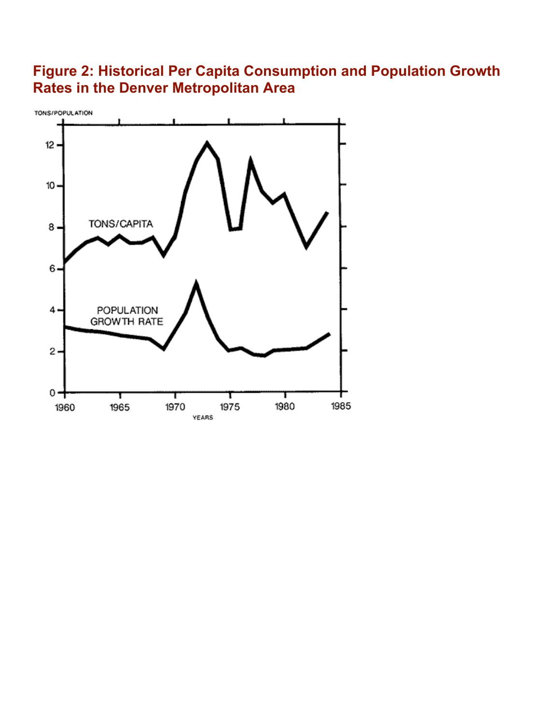### **Figure 2: Historical Per Capita Consumption and Population Growth Rates in the Denver Metropolitan Area**

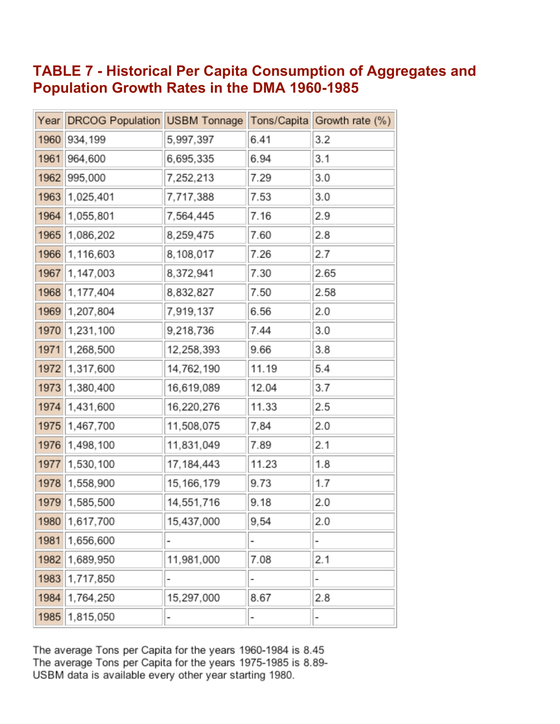#### **TABLE 7 - Historical Per Capita Consumption of Aggregates and Population Growth Rates in the DMA 1960-1985**

| Year | DRCOG Population USBM Tonnage |              |       | Tons/Capita Growth rate (%) |
|------|-------------------------------|--------------|-------|-----------------------------|
| 1960 | 934,199                       | 5,997,397    | 6.41  | 3.2                         |
| 1961 | 964,600                       | 6,695,335    | 6.94  | 3.1                         |
| 1962 | 995,000                       | 7,252,213    | 7.29  | 3.0                         |
| 1963 | 1,025,401                     | 7,717,388    | 7.53  | 3.0                         |
| 1964 | 1,055,801                     | 7,564,445    | 7.16  | 2.9                         |
| 1965 | 1,086,202                     | 8,259,475    | 7.60  | 2.8                         |
| 1966 | 1,116,603                     | 8,108,017    | 7.26  | 2.7                         |
| 1967 | 1,147,003                     | 8,372,941    | 7.30  | 2.65                        |
| 1968 | 1,177,404                     | 8,832,827    | 7.50  | 2.58                        |
| 1969 | 1,207,804                     | 7,919,137    | 6.56  | 2.0                         |
| 1970 | 1,231,100                     | 9,218,736    | 7.44  | 3.0                         |
| 1971 | 1,268,500                     | 12,258,393   | 9.66  | 3.8                         |
| 1972 | 1,317,600                     | 14,762,190   | 11.19 | 5.4                         |
| 1973 | 1,380,400                     | 16,619,089   | 12.04 | 3.7                         |
| 1974 | 1,431,600                     | 16,220,276   | 11.33 | 2.5                         |
| 1975 | 1,467,700                     | 11,508,075   | 7,84  | 2.0                         |
| 1976 | 1,498,100                     | 11,831,049   | 7.89  | 2.1                         |
| 1977 | 1,530,100                     | 17, 184, 443 | 11.23 | 1.8                         |
| 1978 | 1,558,900                     | 15, 166, 179 | 9.73  | 1.7                         |
| 1979 | 1,585,500                     | 14,551,716   | 9.18  | 2.0                         |
|      | 1980 1,617,700                | 15,437,000   | 9,54  | 2.0                         |
| 1981 | 1,656,600                     |              |       |                             |
| 1982 | 1,689,950                     | 11,981,000   | 7.08  | 2.1                         |
| 1983 | 1,717,850                     |              |       |                             |
| 1984 | 1,764,250                     | 15,297,000   | 8.67  | 2.8                         |
| 1985 | 1,815,050                     |              |       |                             |

The average Tons per Capita for the years 1960-1984 is 8.45<br>The average Tons per Capita for the years 1975-1985 is 8.89-USBM data is available every other year starting 1980.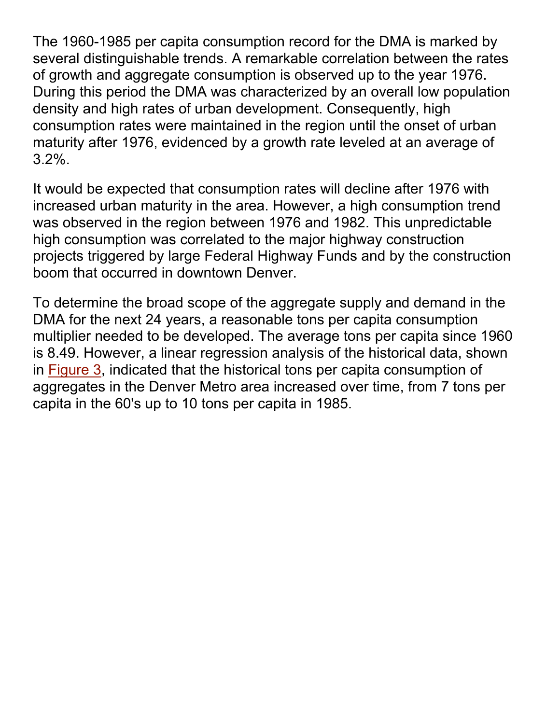The 1960-1985 per capita consumption record for the DMA is marked by several distinguishable trends. A remarkable correlation between the rates of growth and aggregate consumption is observed up to the year 1976. During this period the DMA was characterized by an overall low population density and high rates of urban development. Consequently, high consumption rates were maintained in the region until the onset of urban maturity after 1976, evidenced by a growth rate leveled at an average of 3.2%.

It would be expected that consumption rates will decline after 1976 with increased urban maturity in the area. However, a high consumption trend was observed in the region between 1976 and 1982. This unpredictable high consumption was correlated to the major highway construction projects triggered by large Federal Highway Funds and by the construction boom that occurred in downtown Denver.

To determine the broad scope of the aggregate supply and demand in the DMA for the next 24 years, a reasonable tons per capita consumption multiplier needed to be developed. The average tons per capita since 1960 is 8.49. However, a linear regression analysis of the historical data, shown in Figure 3, indicated that the historical tons per capita consumption of aggregates in the Denver Metro area increased over time, from 7 tons per capita in the 60's up to 10 tons per capita in 1985.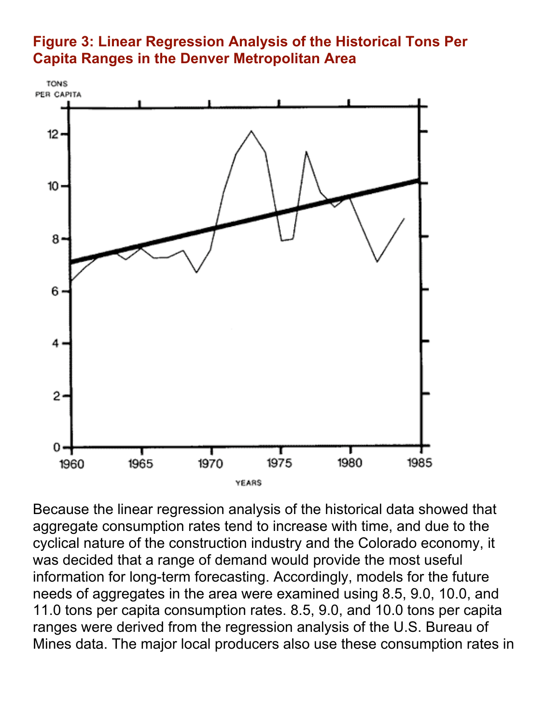#### **Figure 3: Linear Regression Analysis of the Historical Tons Per Capita Ranges in the Denver Metropolitan Area**



Because the linear regression analysis of the historical data showed that aggregate consumption rates tend to increase with time, and due to the cyclical nature of the construction industry and the Colorado economy, it was decided that a range of demand would provide the most useful information for long-term forecasting. Accordingly, models for the future needs of aggregates in the area were examined using 8.5, 9.0, 10.0, and 11.0 tons per capita consumption rates. 8.5, 9.0, and 10.0 tons per capita ranges were derived from the regression analysis of the U.S. Bureau of Mines data. The major local producers also use these consumption rates in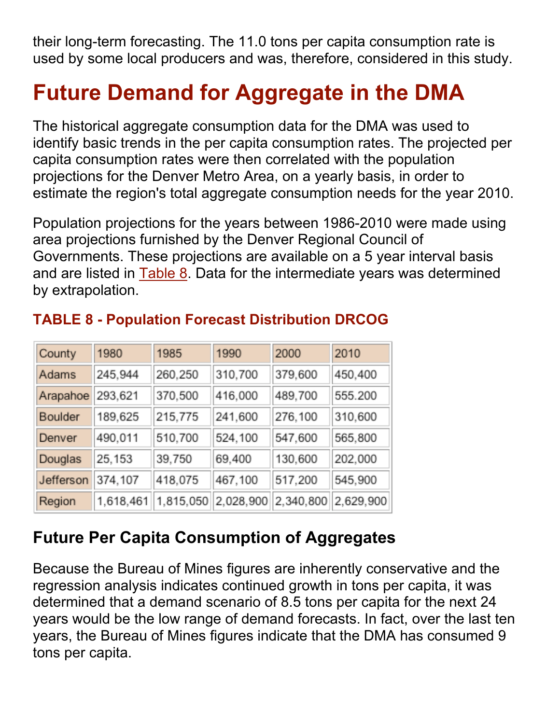their long-term forecasting. The 11.0 tons per capita consumption rate is used by some local producers and was, therefore, considered in this study.

# **Future Demand for Aggregate in the DMA**

The historical aggregate consumption data for the DMA was used to identify basic trends in the per capita consumption rates. The projected per capita consumption rates were then correlated with the population projections for the Denver Metro Area, on a yearly basis, in order to estimate the region's total aggregate consumption needs for the year 2010.

Population projections for the years between 1986-2010 were made using area projections furnished by the Denver Regional Council of Governments. These projections are available on a 5 year interval basis and are listed in Table 8. Data for the intermediate years was determined by extrapolation.

| County    | 1980      | 1985      | 1990      | 2000      | 2010      |
|-----------|-----------|-----------|-----------|-----------|-----------|
| Adams     | 245,944   | 260,250   | 310,700   | 379,600   | 450,400   |
| Arapahoe  | 293,621   | 370,500   | 416,000   | 489,700   | 555.200   |
| Boulder   | 189,625   | 215,775   | 241,600   | 276,100   | 310,600   |
| Denver    | 490,011   | 510,700   | 524,100   | 547,600   | 565,800   |
| Douglas   | 25,153    | 39,750    | 69,400    | 130,600   | 202,000   |
| Jefferson | 374,107   | 418,075   | 467,100   | 517,200   | 545,900   |
| Region    | 1,618,461 | 1,815,050 | 2,028,900 | 2,340,800 | 2,629,900 |

## **TABLE 8 - Population Forecast Distribution DRCOG**

## **Future Per Capita Consumption of Aggregates**

Because the Bureau of Mines figures are inherently conservative and the regression analysis indicates continued growth in tons per capita, it was determined that a demand scenario of 8.5 tons per capita for the next 24 years would be the low range of demand forecasts. In fact, over the last ten years, the Bureau of Mines figures indicate that the DMA has consumed 9 tons per capita.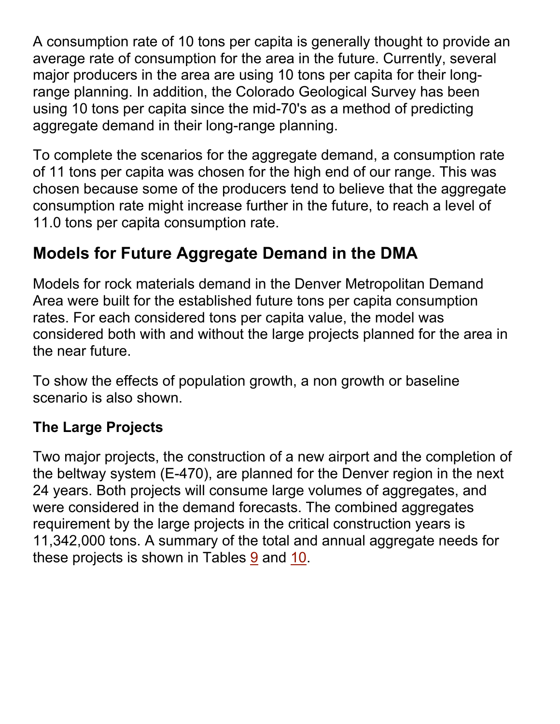A consumption rate of 10 tons per capita is generally thought to provide an average rate of consumption for the area in the future. Currently, several major producers in the area are using 10 tons per capita for their longrange planning. In addition, the Colorado Geological Survey has been using 10 tons per capita since the mid-70's as a method of predicting aggregate demand in their long-range planning.

To complete the scenarios for the aggregate demand, a consumption rate of 11 tons per capita was chosen for the high end of our range. This was chosen because some of the producers tend to believe that the aggregate consumption rate might increase further in the future, to reach a level of 11.0 tons per capita consumption rate.

# **Models for Future Aggregate Demand in the DMA**

Models for rock materials demand in the Denver Metropolitan Demand Area were built for the established future tons per capita consumption rates. For each considered tons per capita value, the model was considered both with and without the large projects planned for the area in the near future.

To show the effects of population growth, a non growth or baseline scenario is also shown.

### **The Large Projects**

Two major projects, the construction of a new airport and the completion of the beltway system (E-470), are planned for the Denver region in the next 24 years. Both projects will consume large volumes of aggregates, and were considered in the demand forecasts. The combined aggregates requirement by the large projects in the critical construction years is 11,342,000 tons. A summary of the total and annual aggregate needs for these projects is shown in Tables 9 and 10.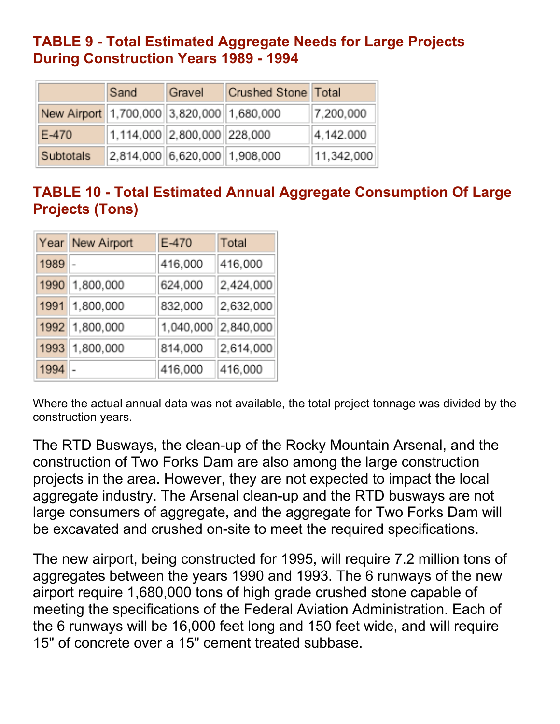#### **TABLE 9 - Total Estimated Aggregate Needs for Large Projects During Construction Years 1989 - 1994**

|                                           | Sand                        | Gravel                          | Crushed Stone Total |            |
|-------------------------------------------|-----------------------------|---------------------------------|---------------------|------------|
| New Airport 1,700,000 3,820,000 1,680,000 |                             |                                 |                     | 7,200,000  |
| E-470                                     | 1,114,000 2,800,000 228,000 |                                 |                     | 4,142.000  |
| Subtotals                                 |                             | $2,814,000$ 6,620,000 1,908,000 |                     | 11,342,000 |

### **TABLE 10 - Total Estimated Annual Aggregate Consumption Of Large Projects (Tons)**

|      | Year New Airport | E-470     | Total     |
|------|------------------|-----------|-----------|
| 1989 |                  | 416,000   | 416,000   |
| 1990 | 1,800,000        | 624,000   | 2,424,000 |
| 1991 | 1,800,000        | 832,000   | 2,632,000 |
|      | 1992 1,800,000   | 1,040,000 | 2,840,000 |
| 1993 | 1,800,000        | 814,000   | 2,614,000 |
| 1994 |                  | 416,000   | 416,000   |

Where the actual annual data was not available, the total project tonnage was divided by the construction years.

The RTD Busways, the clean-up of the Rocky Mountain Arsenal, and the construction of Two Forks Dam are also among the large construction projects in the area. However, they are not expected to impact the local aggregate industry. The Arsenal clean-up and the RTD busways are not large consumers of aggregate, and the aggregate for Two Forks Dam will be excavated and crushed on-site to meet the required specifications.

The new airport, being constructed for 1995, will require 7.2 million tons of aggregates between the years 1990 and 1993. The 6 runways of the new airport require 1,680,000 tons of high grade crushed stone capable of meeting the specifications of the Federal Aviation Administration. Each of the 6 runways will be 16,000 feet long and 150 feet wide, and will require 15" of concrete over a 15" cement treated subbase.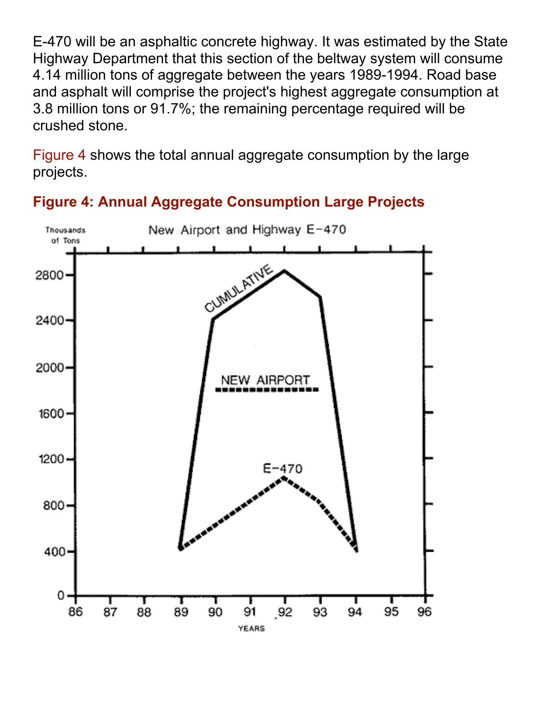E-470 will be an asphaltic concrete highway. It was estimated by the State Highway Department that this section of the beltway system will consume 4.14 million tons of aggregate between the years 1989-1994. Road base and asphalt will comprise the project's highest aggregate consumption at 3.8 million tons or 91.7%; the remaining percentage required will be crushed stone.

Figure 4 shows the total annual aggregate consumption by the large projects.



**Figure 4: Annual Aggregate Consumption Large Projects**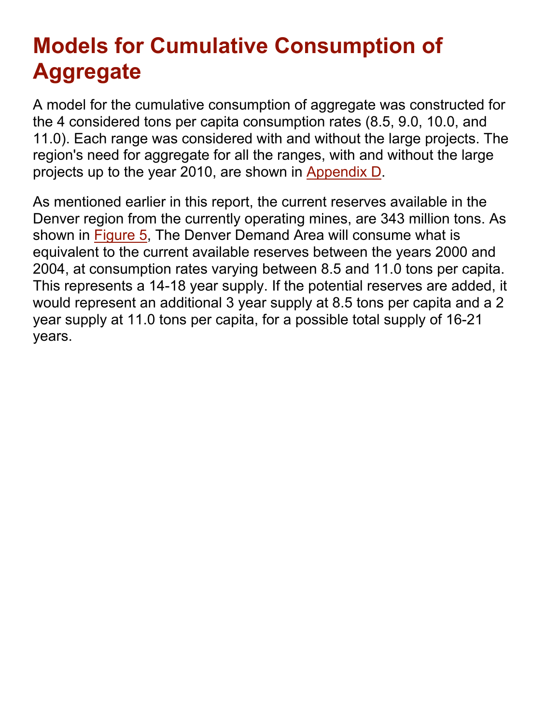# **Models for Cumulative Consumption of Aggregate**

A model for the cumulative consumption of aggregate was constructed for the 4 considered tons per capita consumption rates (8.5, 9.0, 10.0, and 11.0). Each range was considered with and without the large projects. The region's need for aggregate for all the ranges, with and without the large projects up to the year 2010, are shown in Appendix D.

As mentioned earlier in this report, the current reserves available in the Denver region from the currently operating mines, are 343 million tons. As shown in Figure 5, The Denver Demand Area will consume what is equivalent to the current available reserves between the years 2000 and 2004, at consumption rates varying between 8.5 and 11.0 tons per capita. This represents a 14-18 year supply. If the potential reserves are added, it would represent an additional 3 year supply at 8.5 tons per capita and a 2 year supply at 11.0 tons per capita, for a possible total supply of 16-21 years.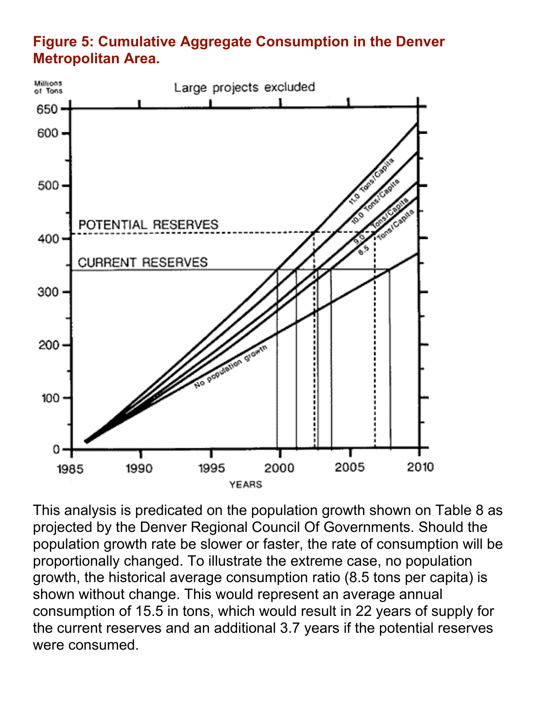#### **Figure 5: Cumulative Aggregate Consumption in the Denver Metropolitan Area.**



This analysis is predicated on the population growth shown on Table 8 as projected by the Denver Regional Council Of Governments. Should the population growth rate be slower or faster, the rate of consumption will be proportionally changed. To illustrate the extreme case, no population growth, the historical average consumption ratio (8.5 tons per capita) is shown without change. This would represent an average annual consumption of 15.5 in tons, which would result in 22 years of supply for the current reserves and an additional 3.7 years if the potential reserves were consumed.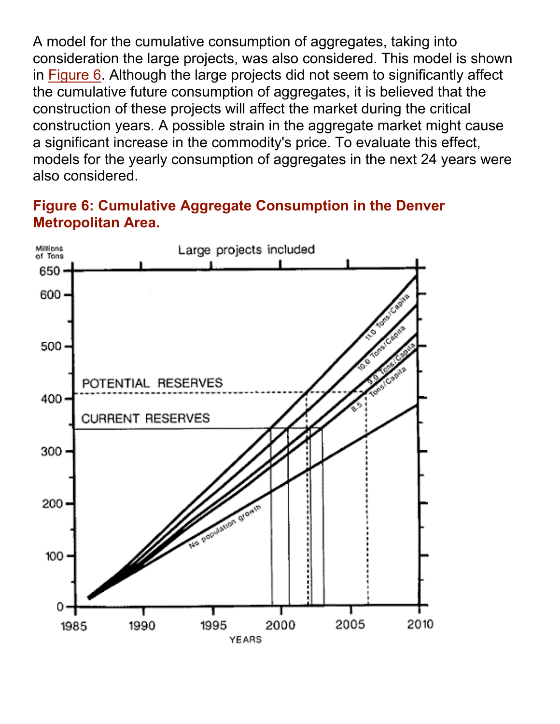A model for the cumulative consumption of aggregates, taking into consideration the large projects, was also considered. This model is shown in Figure 6. Although the large projects did not seem to significantly affect the cumulative future consumption of aggregates, it is believed that the construction of these projects will affect the market during the critical construction years. A possible strain in the aggregate market might cause a significant increase in the commodity's price. To evaluate this effect, models for the yearly consumption of aggregates in the next 24 years were also considered.

#### **Figure 6: Cumulative Aggregate Consumption in the Denver Metropolitan Area.**

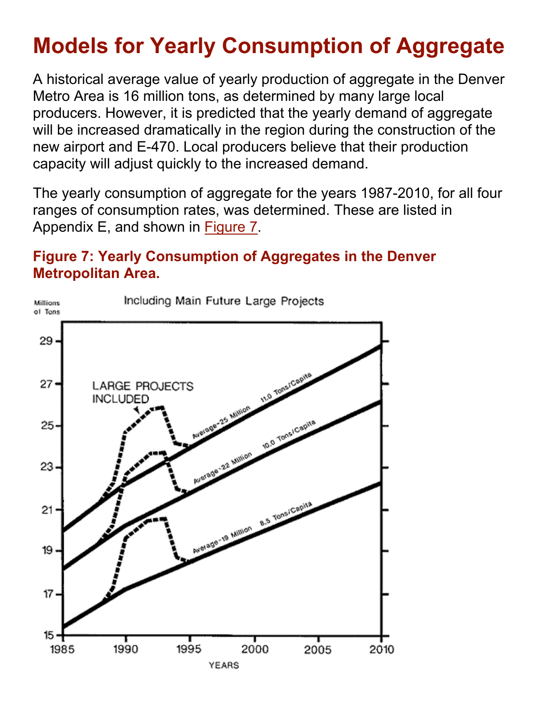# **Models for Yearly Consumption of Aggregate**

A historical average value of yearly production of aggregate in the Denver Metro Area is 16 million tons, as determined by many large local producers. However, it is predicted that the yearly demand of aggregate will be increased dramatically in the region during the construction of the new airport and E-470. Local producers believe that their production capacity will adjust quickly to the increased demand.

The yearly consumption of aggregate for the years 1987-2010, for all four ranges of consumption rates, was determined. These are listed in Appendix E, and shown in Figure 7.

#### **Figure 7: Yearly Consumption of Aggregates in the Denver Metropolitan Area.**

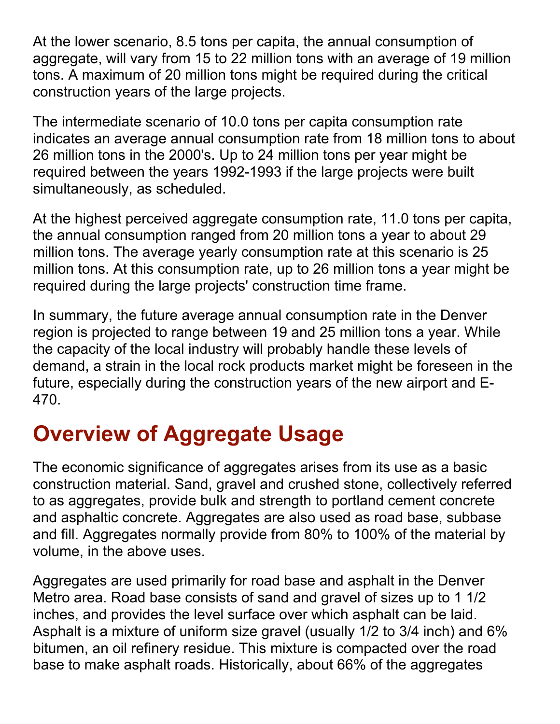At the lower scenario, 8.5 tons per capita, the annual consumption of aggregate, will vary from 15 to 22 million tons with an average of 19 million tons. A maximum of 20 million tons might be required during the critical construction years of the large projects.

The intermediate scenario of 10.0 tons per capita consumption rate indicates an average annual consumption rate from 18 million tons to about 26 million tons in the 2000's. Up to 24 million tons per year might be required between the years 1992-1993 if the large projects were built simultaneously, as scheduled.

At the highest perceived aggregate consumption rate, 11.0 tons per capita, the annual consumption ranged from 20 million tons a year to about 29 million tons. The average yearly consumption rate at this scenario is 25 million tons. At this consumption rate, up to 26 million tons a year might be required during the large projects' construction time frame.

In summary, the future average annual consumption rate in the Denver region is projected to range between 19 and 25 million tons a year. While the capacity of the local industry will probably handle these levels of demand, a strain in the local rock products market might be foreseen in the future, especially during the construction years of the new airport and E-470.

# **Overview of Aggregate Usage**

The economic significance of aggregates arises from its use as a basic construction material. Sand, gravel and crushed stone, collectively referred to as aggregates, provide bulk and strength to portland cement concrete and asphaltic concrete. Aggregates are also used as road base, subbase and fill. Aggregates normally provide from 80% to 100% of the material by volume, in the above uses.

Aggregates are used primarily for road base and asphalt in the Denver Metro area. Road base consists of sand and gravel of sizes up to 1 1/2 inches, and provides the level surface over which asphalt can be laid. Asphalt is a mixture of uniform size gravel (usually 1/2 to 3/4 inch) and 6% bitumen, an oil refinery residue. This mixture is compacted over the road base to make asphalt roads. Historically, about 66% of the aggregates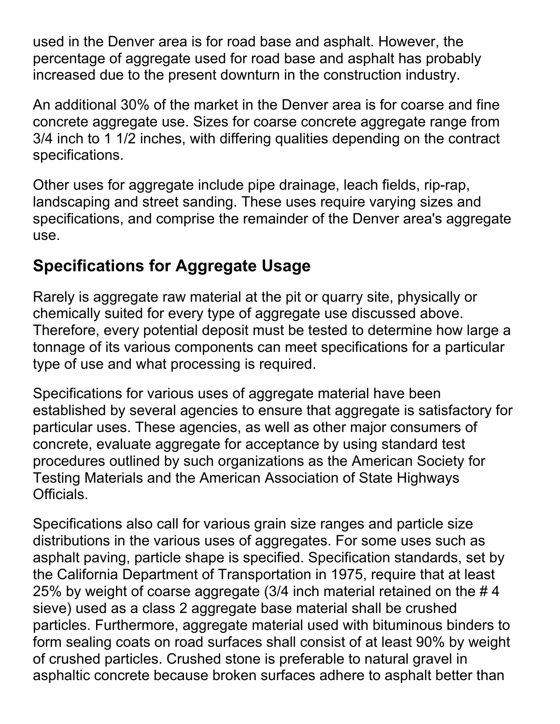used in the Denver area is for road base and asphalt. However, the percentage of aggregate used for road base and asphalt has probably increased due to the present downturn in the construction industry.

An additional 30% of the market in the Denver area is for coarse and fine concrete aggregate use. Sizes for coarse concrete aggregate range from 3/4 inch to 1 1/2 inches, with differing qualities depending on the contract specifications.

Other uses for aggregate include pipe drainage, leach fields, rip-rap, landscaping and street sanding. These uses require varying sizes and specifications, and comprise the remainder of the Denver area's aggregate use.

## **Specifications for Aggregate Usage**

Rarely is aggregate raw material at the pit or quarry site, physically or chemically suited for every type of aggregate use discussed above. Therefore, every potential deposit must be tested to determine how large a tonnage of its various components can meet specifications for a particular type of use and what processing is required.

Specifications for various uses of aggregate material have been established by several agencies to ensure that aggregate is satisfactory for particular uses. These agencies, as well as other major consumers of concrete, evaluate aggregate for acceptance by using standard test procedures outlined by such organizations as the American Society for Testing Materials and the American Association of State Highways Officials.

Specifications also call for various grain size ranges and particle size distributions in the various uses of aggregates. For some uses such as asphalt paving, particle shape is specified. Specification standards, set by the California Department of Transportation in 1975, require that at least 25% by weight of coarse aggregate (3/4 inch material retained on the # 4 sieve) used as a class 2 aggregate base material shall be crushed particles. Furthermore, aggregate material used with bituminous binders to form sealing coats on road surfaces shall consist of at least 90% by weight of crushed particles. Crushed stone is preferable to natural gravel in asphaltic concrete because broken surfaces adhere to asphalt better than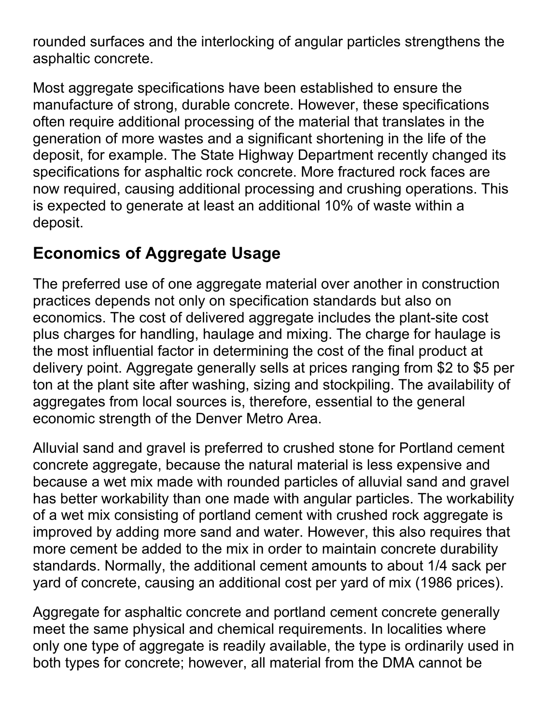rounded surfaces and the interlocking of angular particles strengthens the asphaltic concrete.

Most aggregate specifications have been established to ensure the manufacture of strong, durable concrete. However, these specifications often require additional processing of the material that translates in the generation of more wastes and a significant shortening in the life of the deposit, for example. The State Highway Department recently changed its specifications for asphaltic rock concrete. More fractured rock faces are now required, causing additional processing and crushing operations. This is expected to generate at least an additional 10% of waste within a deposit.

# **Economics of Aggregate Usage**

The preferred use of one aggregate material over another in construction practices depends not only on specification standards but also on economics. The cost of delivered aggregate includes the plant-site cost plus charges for handling, haulage and mixing. The charge for haulage is the most influential factor in determining the cost of the final product at delivery point. Aggregate generally sells at prices ranging from \$2 to \$5 per ton at the plant site after washing, sizing and stockpiling. The availability of aggregates from local sources is, therefore, essential to the general economic strength of the Denver Metro Area.

Alluvial sand and gravel is preferred to crushed stone for Portland cement concrete aggregate, because the natural material is less expensive and because a wet mix made with rounded particles of alluvial sand and gravel has better workability than one made with angular particles. The workability of a wet mix consisting of portland cement with crushed rock aggregate is improved by adding more sand and water. However, this also requires that more cement be added to the mix in order to maintain concrete durability standards. Normally, the additional cement amounts to about 1/4 sack per yard of concrete, causing an additional cost per yard of mix (1986 prices).

Aggregate for asphaltic concrete and portland cement concrete generally meet the same physical and chemical requirements. In localities where only one type of aggregate is readily available, the type is ordinarily used in both types for concrete; however, all material from the DMA cannot be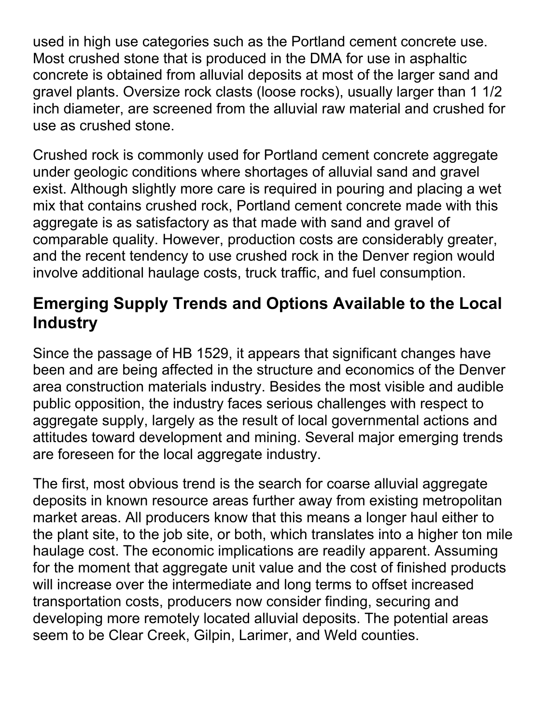used in high use categories such as the Portland cement concrete use. Most crushed stone that is produced in the DMA for use in asphaltic concrete is obtained from alluvial deposits at most of the larger sand and gravel plants. Oversize rock clasts (loose rocks), usually larger than 1 1/2 inch diameter, are screened from the alluvial raw material and crushed for use as crushed stone.

Crushed rock is commonly used for Portland cement concrete aggregate under geologic conditions where shortages of alluvial sand and gravel exist. Although slightly more care is required in pouring and placing a wet mix that contains crushed rock, Portland cement concrete made with this aggregate is as satisfactory as that made with sand and gravel of comparable quality. However, production costs are considerably greater, and the recent tendency to use crushed rock in the Denver region would involve additional haulage costs, truck traffic, and fuel consumption.

## **Emerging Supply Trends and Options Available to the Local Industry**

Since the passage of HB 1529, it appears that significant changes have been and are being affected in the structure and economics of the Denver area construction materials industry. Besides the most visible and audible public opposition, the industry faces serious challenges with respect to aggregate supply, largely as the result of local governmental actions and attitudes toward development and mining. Several major emerging trends are foreseen for the local aggregate industry.

The first, most obvious trend is the search for coarse alluvial aggregate deposits in known resource areas further away from existing metropolitan market areas. All producers know that this means a longer haul either to the plant site, to the job site, or both, which translates into a higher ton mile haulage cost. The economic implications are readily apparent. Assuming for the moment that aggregate unit value and the cost of finished products will increase over the intermediate and long terms to offset increased transportation costs, producers now consider finding, securing and developing more remotely located alluvial deposits. The potential areas seem to be Clear Creek, Gilpin, Larimer, and Weld counties.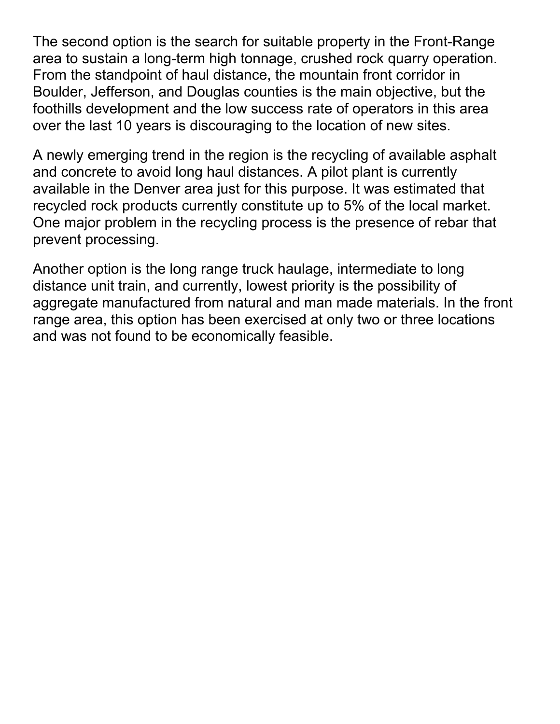The second option is the search for suitable property in the Front-Range area to sustain a long-term high tonnage, crushed rock quarry operation. From the standpoint of haul distance, the mountain front corridor in Boulder, Jefferson, and Douglas counties is the main objective, but the foothills development and the low success rate of operators in this area over the last 10 years is discouraging to the location of new sites.

A newly emerging trend in the region is the recycling of available asphalt and concrete to avoid long haul distances. A pilot plant is currently available in the Denver area just for this purpose. It was estimated that recycled rock products currently constitute up to 5% of the local market. One major problem in the recycling process is the presence of rebar that prevent processing.

Another option is the long range truck haulage, intermediate to long distance unit train, and currently, lowest priority is the possibility of aggregate manufactured from natural and man made materials. In the front range area, this option has been exercised at only two or three locations and was not found to be economically feasible.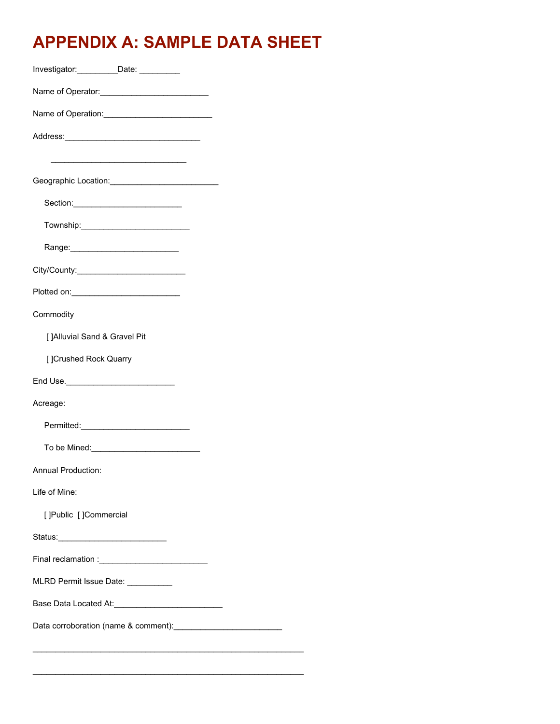# **APPENDIX A: SAMPLE DATA SHEET**

| Investigator: ___________Date: __________                                                                             |
|-----------------------------------------------------------------------------------------------------------------------|
|                                                                                                                       |
|                                                                                                                       |
|                                                                                                                       |
| <u> 1989 - Johann John Stein, markin sanadi masjid a shekara ta 1980 - Ang tanggapang masa na sanadi na sanadi sa</u> |
|                                                                                                                       |
|                                                                                                                       |
|                                                                                                                       |
|                                                                                                                       |
|                                                                                                                       |
| Plotted on: _______________________________                                                                           |
| Commodity                                                                                                             |
| [ ]Alluvial Sand & Gravel Pit                                                                                         |
| [ ]Crushed Rock Quarry                                                                                                |
|                                                                                                                       |
| Acreage:                                                                                                              |
|                                                                                                                       |
|                                                                                                                       |
| Annual Production:                                                                                                    |
| Life of Mine:                                                                                                         |
| []Public []Commercial                                                                                                 |
|                                                                                                                       |
|                                                                                                                       |
| MLRD Permit Issue Date: __________                                                                                    |
|                                                                                                                       |
|                                                                                                                       |
|                                                                                                                       |

 $\mathcal{L}_\text{max}$  , and the contract of the contract of the contract of the contract of the contract of the contract of the contract of the contract of the contract of the contract of the contract of the contract of the contr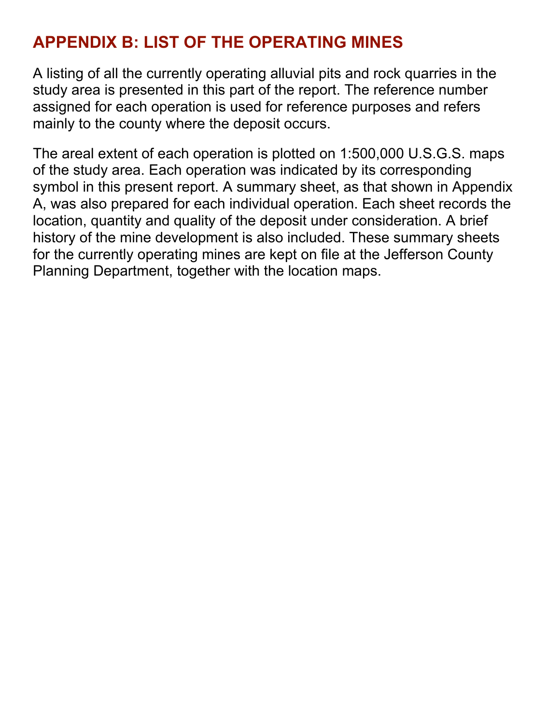## **APPENDIX B: LIST OF THE OPERATING MINES**

A listing of all the currently operating alluvial pits and rock quarries in the study area is presented in this part of the report. The reference number assigned for each operation is used for reference purposes and refers mainly to the county where the deposit occurs.

The areal extent of each operation is plotted on 1:500,000 U.S.G.S. maps of the study area. Each operation was indicated by its corresponding symbol in this present report. A summary sheet, as that shown in Appendix A, was also prepared for each individual operation. Each sheet records the location, quantity and quality of the deposit under consideration. A brief history of the mine development is also included. These summary sheets for the currently operating mines are kept on file at the Jefferson County Planning Department, together with the location maps.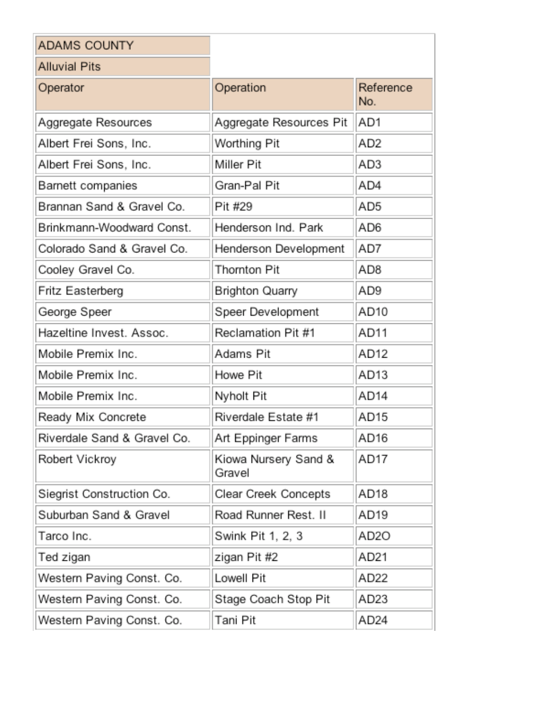| <b>ADAMS COUNTY</b>         |                                |                  |
|-----------------------------|--------------------------------|------------------|
| <b>Alluvial Pits</b>        |                                |                  |
| Operator                    | Operation                      | Reference<br>No. |
| Aggregate Resources         | Aggregate Resources Pit        | AD1              |
| Albert Frei Sons, Inc.      | Worthing Pit                   | AD <sub>2</sub>  |
| Albert Frei Sons, Inc.      | Miller Pit                     | AD3              |
| Barnett companies           | Gran-Pal Pit                   | AD4              |
| Brannan Sand & Gravel Co.   | Pit #29                        | AD5              |
| Brinkmann-Woodward Const.   | Henderson Ind. Park            | AD6              |
| Colorado Sand & Gravel Co.  | Henderson Development          | AD7              |
| Cooley Gravel Co.           | Thornton Pit                   | AD8              |
| Fritz Easterberg            | Brighton Quarry                | AD9              |
| George Speer                | Speer Development              | AD10             |
| Hazeltine Invest. Assoc.    | Reclamation Pit #1             | AD11             |
| Mobile Premix Inc.          | Adams Pit                      | AD <sub>12</sub> |
| Mobile Premix Inc.          | Howe Pit                       | AD <sub>13</sub> |
| Mobile Premix Inc.          | Nyholt Pit                     | AD14             |
| Ready Mix Concrete          | Riverdale Estate #1            | AD15             |
| Riverdale Sand & Gravel Co. | Art Eppinger Farms             | AD16             |
| Robert Vickroy              | Kiowa Nursery Sand &<br>Gravel | AD17             |
| Siegrist Construction Co.   | Clear Creek Concepts           | AD18             |
| Suburban Sand & Gravel      | Road Runner Rest. II           | AD19             |
| Tarco Inc.                  | Swink Pit 1, 2, 3              | AD2O             |
| Ted zigan                   | zigan Pit #2                   | AD21             |
| Western Paving Const. Co.   | Lowell Pit                     | AD22             |
| Western Paving Const. Co.   | Stage Coach Stop Pit           | AD23             |
| Western Paving Const. Co.   | Tani Pit                       | AD24             |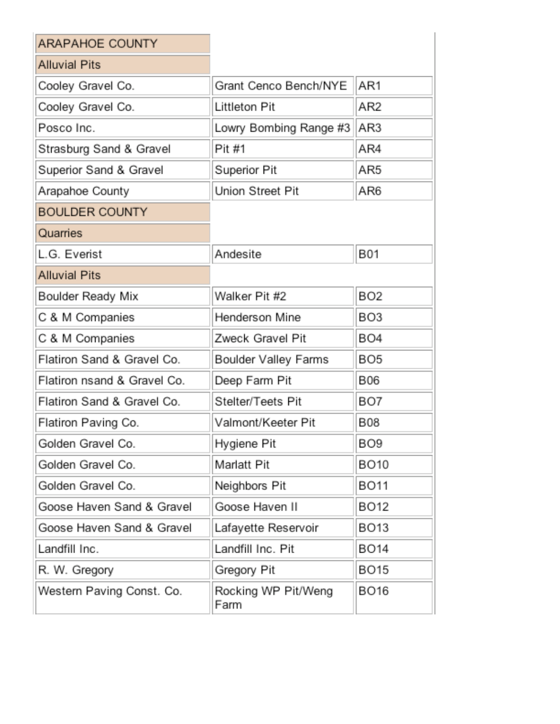| <b>ARAPAHOE COUNTY</b>      |                             |                 |
|-----------------------------|-----------------------------|-----------------|
| <b>Alluvial Pits</b>        |                             |                 |
| Cooley Gravel Co.           | Grant Cenco Bench/NYE       | AR1             |
| Cooley Gravel Co.           | Littleton Pit               | AR2             |
| Posco Inc.                  | Lowry Bombing Range #3      | AR3             |
| Strasburg Sand & Gravel     | Pit #1                      | AR4             |
| Superior Sand & Gravel      | Superior Pit                | AR5             |
| Arapahoe County             | Union Street Pit            | AR6             |
| <b>BOULDER COUNTY</b>       |                             |                 |
| Quarries                    |                             |                 |
| L.G. Everist                | Andesite                    | <b>B01</b>      |
| <b>Alluvial Pits</b>        |                             |                 |
| Boulder Ready Mix           | Walker Pit #2               | BO <sub>2</sub> |
| C & M Companies             | Henderson Mine              | BO <sub>3</sub> |
| C & M Companies             | Zweck Gravel Pit            | BO <sub>4</sub> |
| Flatiron Sand & Gravel Co.  | Boulder Valley Farms        | BO <sub>5</sub> |
| Flatiron nsand & Gravel Co. | Deep Farm Pit               | B06             |
| Flatiron Sand & Gravel Co.  | Stelter/Teets Pit           | BO7             |
| Flatiron Paving Co.         | Valmont/Keeter Pit          | B08             |
| Golden Gravel Co.           | Hygiene Pit                 | BO <sub>9</sub> |
| Golden Gravel Co.           | Marlatt Pit                 | BO10            |
| Golden Gravel Co.           | Neighbors Pit               | BO11            |
| Goose Haven Sand & Gravel   | Goose Haven II              | BO12            |
| Goose Haven Sand & Gravel   | Lafayette Reservoir         | BO13            |
| Landfill Inc.               | Landfill Inc. Pit           | BO14            |
| R. W. Gregory               | Gregory Pit                 | BO15            |
| Western Paving Const. Co.   | Rocking WP Pit/Weng<br>Farm | BO16            |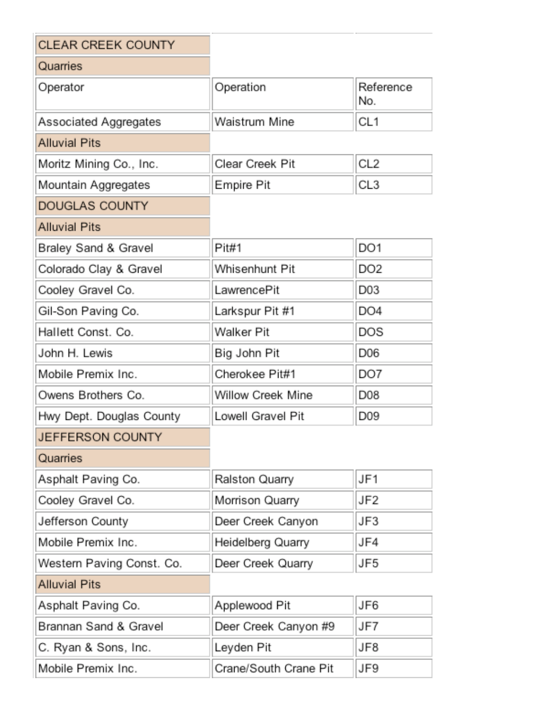| <b>CLEAR CREEK COUNTY</b> |                       |                  |
|---------------------------|-----------------------|------------------|
| Quarries                  |                       |                  |
| Operator                  | Operation             | Reference<br>No. |
| Associated Aggregates     | Waistrum Mine         | CL <sub>1</sub>  |
| <b>Alluvial Pits</b>      |                       |                  |
| Moritz Mining Co., Inc.   | Clear Creek Pit       | CL <sub>2</sub>  |
| Mountain Aggregates       | Empire Pit            | CL3              |
| <b>DOUGLAS COUNTY</b>     |                       |                  |
| <b>Alluvial Pits</b>      |                       |                  |
| Braley Sand & Gravel      | Pit#1                 | DO1              |
| Colorado Clay & Gravel    | Whisenhunt Pit        | DO <sub>2</sub>  |
| Cooley Gravel Co.         | LawrencePit           | D03              |
| Gil-Son Paving Co.        | Larkspur Pit #1       | DO4              |
| Hallett Const. Co.        | Walker Pit            | DOS              |
| John H. Lewis             | Big John Pit          | D06              |
| Mobile Premix Inc.        | Cherokee Pit#1        | DO7              |
| Owens Brothers Co.        | Willow Creek Mine     | D08              |
| Hwy Dept. Douglas County  | Lowell Gravel Pit     | D09              |
| <b>JEFFERSON COUNTY</b>   |                       |                  |
| Quarries                  |                       |                  |
| Asphalt Paving Co.        | Ralston Quarry        | JF1              |
| Cooley Gravel Co.         | Morrison Quarry       | JF2              |
| Jefferson County          | Deer Creek Canyon     | JF3              |
| Mobile Premix Inc.        | Heidelberg Quarry     | JF4              |
| Western Paving Const. Co. | Deer Creek Quarry     | JF5              |
| <b>Alluvial Pits</b>      |                       |                  |
| Asphalt Paving Co.        | Applewood Pit         | JF6              |
| Brannan Sand & Gravel     | Deer Creek Canyon #9  | JF7              |
| C. Ryan & Sons, Inc.      | Leyden Pit            | JF8              |
| Mobile Premix Inc.        | Crane/South Crane Pit | JF9              |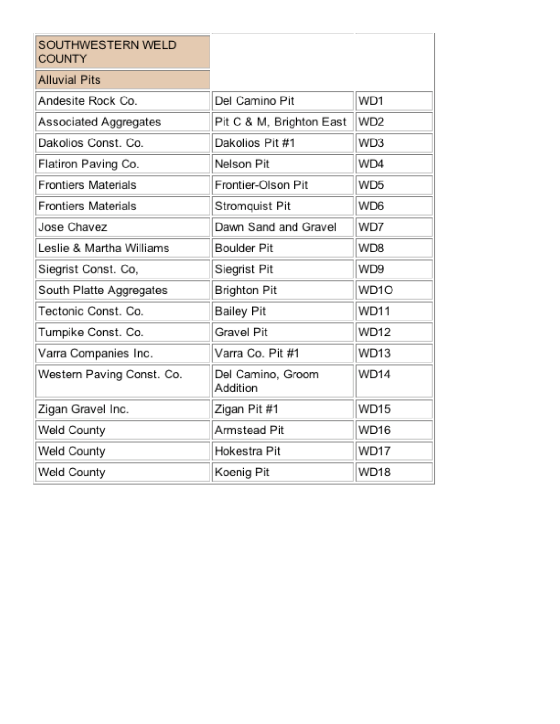| SOUTHWESTERN WELD<br><b>COUNTY</b> |                               |                 |
|------------------------------------|-------------------------------|-----------------|
| <b>Alluvial Pits</b>               |                               |                 |
| Andesite Rock Co.                  | Del Camino Pit                | WD1             |
| Associated Aggregates              | Pit C & M, Brighton East      | WD <sub>2</sub> |
| Dakolios Const. Co.                | Dakolios Pit #1               | WD3             |
| Flatiron Paving Co.                | Nelson Pit                    | WD4             |
| <b>Frontiers Materials</b>         | Frontier-Olson Pit            | WD <sub>5</sub> |
| <b>Frontiers Materials</b>         | Stromquist Pit                | WD6             |
| Jose Chavez                        | Dawn Sand and Gravel          | WD7             |
| Leslie & Martha Williams           | <b>Boulder Pit</b>            | WD8             |
| Siegrist Const. Co,                | Siegrist Pit                  | WD9             |
| South Platte Aggregates            | Brighton Pit                  | WD1O            |
| Tectonic Const. Co.                | <b>Bailey Pit</b>             | <b>WD11</b>     |
| Turnpike Const. Co.                | Gravel Pit                    | <b>WD12</b>     |
| Varra Companies Inc.               | Varra Co. Pit #1              | WD13            |
| Western Paving Const. Co.          | Del Camino, Groom<br>Addition | <b>WD14</b>     |
| Zigan Gravel Inc.                  | Zigan Pit #1                  | <b>WD15</b>     |
| Weld County                        | Armstead Pit                  | WD16            |
| Weld County                        | Hokestra Pit                  | <b>WD17</b>     |
| Weld County                        | Koenig Pit                    | <b>WD18</b>     |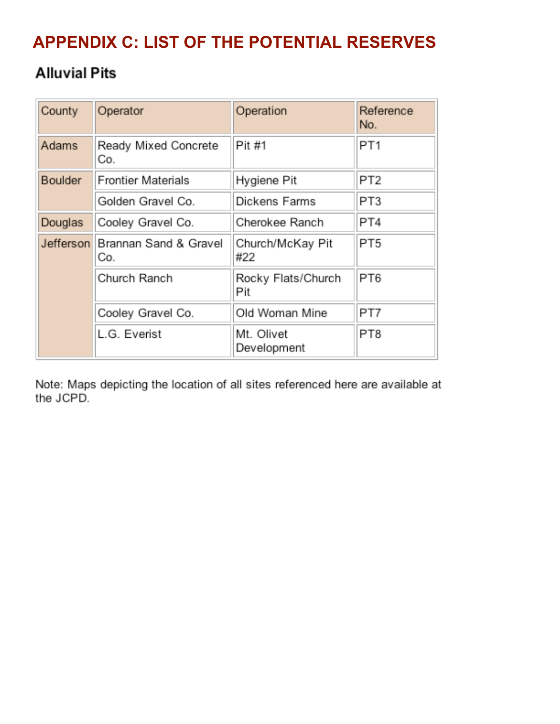# **APPENDIX C: LIST OF THE POTENTIAL RESERVES**

### **Alluvial Pits**

| County         | Operator                     | Operation                 | Reference<br>No. |
|----------------|------------------------------|---------------------------|------------------|
| Adams          | Ready Mixed Concrete<br>Co.  | Pit #1                    | PT <sub>1</sub>  |
| <b>Boulder</b> | <b>Frontier Materials</b>    | Hygiene Pit               | PT <sub>2</sub>  |
|                | Golden Gravel Co.            | Dickens Farms             | PT3              |
| Douglas        | Cooley Gravel Co.            | Cherokee Ranch            | PT4              |
| Jefferson      | Brannan Sand & Gravel<br>Co. | Church/McKay Pit<br>#22   | PT <sub>5</sub>  |
|                | Church Ranch                 | Rocky Flats/Church<br>Pit | PT6              |
|                | Cooley Gravel Co.            | Old Woman Mine            | PT7              |
|                | L.G. Everist                 | Mt. Olivet<br>Development | PT8              |

Note: Maps depicting the location of all sites referenced here are available at the JCPD.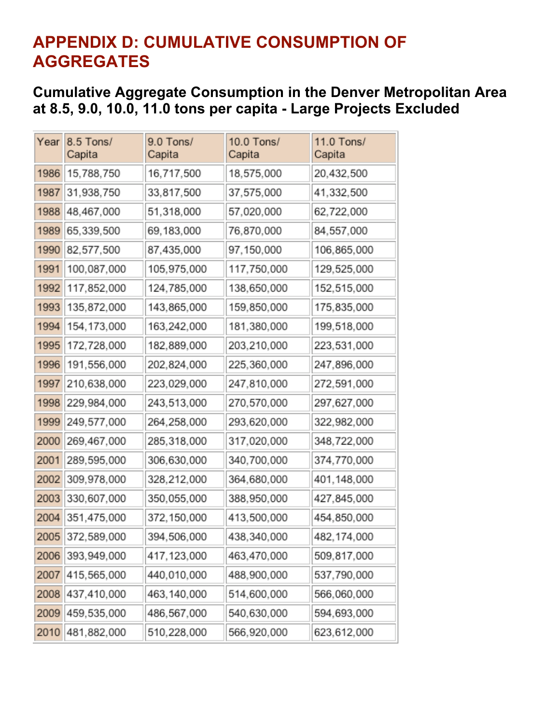## **APPENDIX D: CUMULATIVE CONSUMPTION OF AGGREGATES**

#### **Cumulative Aggregate Consumption in the Denver Metropolitan Area at 8.5, 9.0, 10.0, 11.0 tons per capita - Large Projects Excluded**

| Year | 8.5 Tons/<br>Capita | 9.0 Tons/<br>Capita | 10.0 Tons/<br>Capita | 11.0 Tons/<br>Capita |
|------|---------------------|---------------------|----------------------|----------------------|
| 1986 | 15,788,750          | 16,717,500          | 18,575,000           | 20,432,500           |
| 1987 | 31,938,750          | 33,817,500          | 37,575,000           | 41,332,500           |
| 1988 | 48,467,000          | 51,318,000          | 57,020,000           | 62,722,000           |
| 1989 | 65,339,500          | 69,183,000          | 76,870,000           | 84,557,000           |
| 1990 | 82,577,500          | 87,435,000          | 97,150,000           | 106,865,000          |
| 1991 | 100,087,000         | 105,975,000         | 117,750,000          | 129,525,000          |
| 1992 | 117,852,000         | 124,785,000         | 138,650,000          | 152,515,000          |
| 1993 | 135,872,000         | 143,865,000         | 159,850,000          | 175,835,000          |
| 1994 | 154, 173, 000       | 163,242,000         | 181,380,000          | 199,518,000          |
| 1995 | 172,728,000         | 182,889,000         | 203,210,000          | 223,531,000          |
| 1996 | 191,556,000         | 202,824,000         | 225,360,000          | 247,896,000          |
| 1997 | 210,638,000         | 223,029,000         | 247,810,000          | 272,591,000          |
| 1998 | 229,984,000         | 243,513,000         | 270,570,000          | 297,627,000          |
| 1999 | 249,577,000         | 264,258,000         | 293,620,000          | 322,982,000          |
| 2000 | 269,467,000         | 285,318,000         | 317,020,000          | 348,722,000          |
| 2001 | 289,595,000         | 306,630,000         | 340,700,000          | 374,770,000          |
| 2002 | 309,978,000         | 328,212,000         | 364,680,000          | 401,148,000          |
| 2003 | 330,607,000         | 350,055,000         | 388,950,000          | 427,845,000          |
| 2004 | 351,475,000         | 372,150,000         | 413,500,000          | 454,850,000          |
| 2005 | 372,589,000         | 394,506,000         | 438,340,000          | 482,174,000          |
| 2006 | 393,949,000         | 417, 123, 000       | 463,470,000          | 509,817,000          |
| 2007 | 415,565,000         | 440,010,000         | 488,900,000          | 537,790,000          |
| 2008 | 437,410,000         | 463,140,000         | 514,600,000          | 566,060,000          |
| 2009 | 459,535,000         | 486,567,000         | 540,630,000          | 594,693,000          |
| 2010 | 481,882,000         | 510,228,000         | 566,920,000          | 623,612,000          |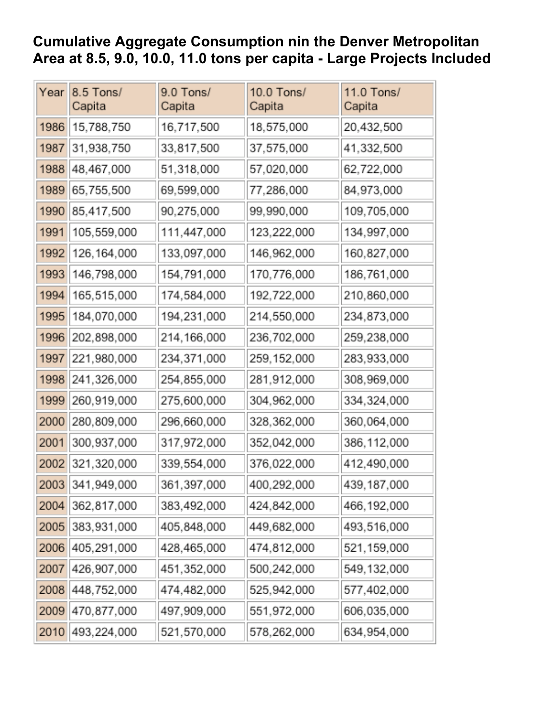#### **Cumulative Aggregate Consumption nin the Denver Metropolitan Area at 8.5, 9.0, 10.0, 11.0 tons per capita - Large Projects Included**

| Year | 8.5 Tons/<br>Capita | 9.0 Tons/<br>Capita | 10.0 Tons/<br>Capita | 11.0 Tons/<br>Capita |
|------|---------------------|---------------------|----------------------|----------------------|
| 1986 | 15,788,750          | 16,717,500          | 18,575,000           | 20,432,500           |
| 1987 | 31,938,750          | 33,817,500          | 37,575,000           | 41,332,500           |
| 1988 | 48,467,000          | 51,318,000          | 57,020,000           | 62,722,000           |
| 1989 | 65,755,500          | 69,599,000          | 77,286,000           | 84,973,000           |
| 1990 | 85,417,500          | 90,275,000          | 99,990,000           | 109,705,000          |
| 1991 | 105,559,000         | 111,447,000         | 123,222,000          | 134,997,000          |
| 1992 | 126, 164, 000       | 133,097,000         | 146,962,000          | 160,827,000          |
| 1993 | 146,798,000         | 154,791,000         | 170,776,000          | 186,761,000          |
| 1994 | 165,515,000         | 174,584,000         | 192,722,000          | 210,860,000          |
| 1995 | 184,070,000         | 194,231,000         | 214,550,000          | 234,873,000          |
| 1996 | 202,898,000         | 214,166,000         | 236,702,000          | 259,238,000          |
| 1997 | 221,980,000         | 234,371,000         | 259, 152, 000        | 283,933,000          |
| 1998 | 241,326,000         | 254,855,000         | 281,912,000          | 308,969,000          |
| 1999 | 260,919,000         | 275,600,000         | 304,962,000          | 334,324,000          |
| 2000 | 280,809,000         | 296,660,000         | 328,362,000          | 360,064,000          |
| 2001 | 300,937,000         | 317,972,000         | 352,042,000          | 386,112,000          |
| 2002 | 321,320,000         | 339,554,000         | 376,022,000          | 412,490,000          |
| 2003 | 341,949,000         | 361,397,000         | 400,292,000          | 439, 187, 000        |
| 2004 | 362,817,000         | 383,492,000         | 424,842,000          | 466, 192, 000        |
| 2005 | 383,931,000         | 405,848,000         | 449,682,000          | 493,516,000          |
| 2006 | 405,291,000         | 428,465,000         | 474,812,000          | 521,159,000          |
| 2007 | 426,907,000         | 451,352,000         | 500,242,000          | 549,132,000          |
| 2008 | 448,752,000         | 474,482,000         | 525,942,000          | 577,402,000          |
| 2009 | 470,877,000         | 497,909,000         | 551,972,000          | 606,035,000          |
| 2010 | 493,224,000         | 521,570,000         | 578,262,000          | 634,954,000          |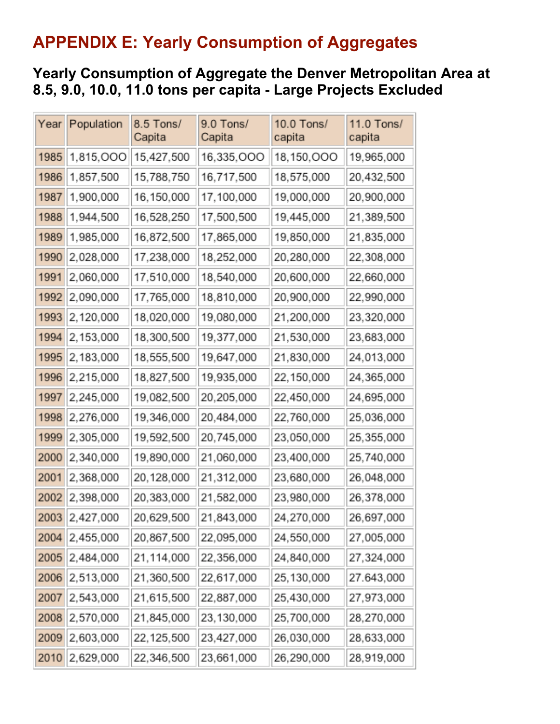## **APPENDIX E: Yearly Consumption of Aggregates**

#### **Yearly Consumption of Aggregate the Denver Metropolitan Area at 8.5, 9.0, 10.0, 11.0 tons per capita - Large Projects Excluded**

| Year | Population | 8.5 Tons/<br>Capita | 9.0 Tons/<br>Capita | 10.0 Tons/<br>capita | 11.0 Tons/<br>capita |
|------|------------|---------------------|---------------------|----------------------|----------------------|
| 1985 | 1,815,000  | 15,427,500          | 16,335,000          | 18,150,000           | 19,965,000           |
| 1986 | 1,857,500  | 15,788,750          | 16,717,500          | 18,575,000           | 20,432,500           |
| 1987 | 1,900,000  | 16,150,000          | 17,100,000          | 19,000,000           | 20,900,000           |
| 1988 | 1,944,500  | 16,528,250          | 17,500,500          | 19,445,000           | 21,389,500           |
| 1989 | 1,985,000  | 16,872,500          | 17,865,000          | 19,850,000           | 21,835,000           |
| 1990 | 2,028,000  | 17,238,000          | 18,252,000          | 20,280,000           | 22,308,000           |
| 1991 | 2,060,000  | 17,510,000          | 18,540,000          | 20,600,000           | 22,660,000           |
| 1992 | 2,090,000  | 17,765,000          | 18,810,000          | 20,900,000           | 22,990,000           |
| 1993 | 2,120,000  | 18,020,000          | 19,080,000          | 21,200,000           | 23,320,000           |
| 1994 | 2,153,000  | 18,300,500          | 19,377,000          | 21,530,000           | 23,683,000           |
| 1995 | 2,183,000  | 18,555,500          | 19,647,000          | 21,830,000           | 24,013,000           |
| 1996 | 2,215,000  | 18,827,500          | 19,935,000          | 22,150,000           | 24,365,000           |
| 1997 | 2,245,000  | 19,082,500          | 20,205,000          | 22,450,000           | 24,695,000           |
| 1998 | 2,276,000  | 19,346,000          | 20,484,000          | 22,760,000           | 25,036,000           |
| 1999 | 2,305,000  | 19,592,500          | 20,745,000          | 23,050,000           | 25,355,000           |
| 2000 | 2,340,000  | 19,890,000          | 21,060,000          | 23,400,000           | 25,740,000           |
| 2001 | 2,368,000  | 20,128,000          | 21,312,000          | 23,680,000           | 26,048,000           |
| 2002 | 2,398,000  | 20,383,000          | 21,582,000          | 23,980,000           | 26,378,000           |
| 2003 | 2,427,000  | 20,629,500          | 21,843,000          | 24,270,000           | 26,697,000           |
| 2004 | 2,455,000  | 20,867,500          | 22,095,000          | 24,550,000           | 27,005,000           |
| 2005 | 2,484,000  | 21,114,000          | 22,356,000          | 24,840,000           | 27,324,000           |
| 2006 | 2,513,000  | 21,360,500          | 22,617,000          | 25,130,000           | 27.643,000           |
| 2007 | 2,543,000  | 21,615,500          | 22,887,000          | 25,430,000           | 27,973,000           |
| 2008 | 2,570,000  | 21,845,000          | 23,130,000          | 25,700,000           | 28,270,000           |
| 2009 | 2,603,000  | 22,125,500          | 23,427,000          | 26,030,000           | 28,633,000           |
| 2010 | 2,629,000  | 22,346,500          | 23,661,000          | 26,290,000           | 28,919,000           |